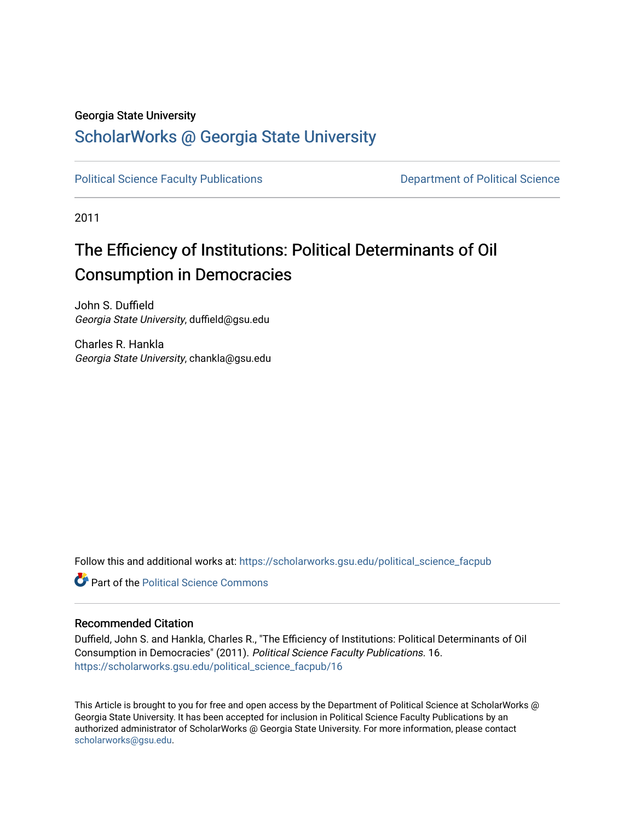#### Georgia State University

### [ScholarWorks @ Georgia State University](https://scholarworks.gsu.edu/)

[Political Science Faculty Publications](https://scholarworks.gsu.edu/political_science_facpub) **Department of Political Science** 

2011

# The Efficiency of Institutions: Political Determinants of Oil Consumption in Democracies

John S. Duffield Georgia State University, duffield@gsu.edu

Charles R. Hankla Georgia State University, chankla@gsu.edu

Follow this and additional works at: [https://scholarworks.gsu.edu/political\\_science\\_facpub](https://scholarworks.gsu.edu/political_science_facpub?utm_source=scholarworks.gsu.edu%2Fpolitical_science_facpub%2F16&utm_medium=PDF&utm_campaign=PDFCoverPages) 

**C** Part of the Political Science Commons

#### Recommended Citation

Duffield, John S. and Hankla, Charles R., "The Efficiency of Institutions: Political Determinants of Oil Consumption in Democracies" (2011). Political Science Faculty Publications. 16. [https://scholarworks.gsu.edu/political\\_science\\_facpub/16](https://scholarworks.gsu.edu/political_science_facpub/16?utm_source=scholarworks.gsu.edu%2Fpolitical_science_facpub%2F16&utm_medium=PDF&utm_campaign=PDFCoverPages) 

This Article is brought to you for free and open access by the Department of Political Science at ScholarWorks @ Georgia State University. It has been accepted for inclusion in Political Science Faculty Publications by an authorized administrator of ScholarWorks @ Georgia State University. For more information, please contact [scholarworks@gsu.edu.](mailto:scholarworks@gsu.edu)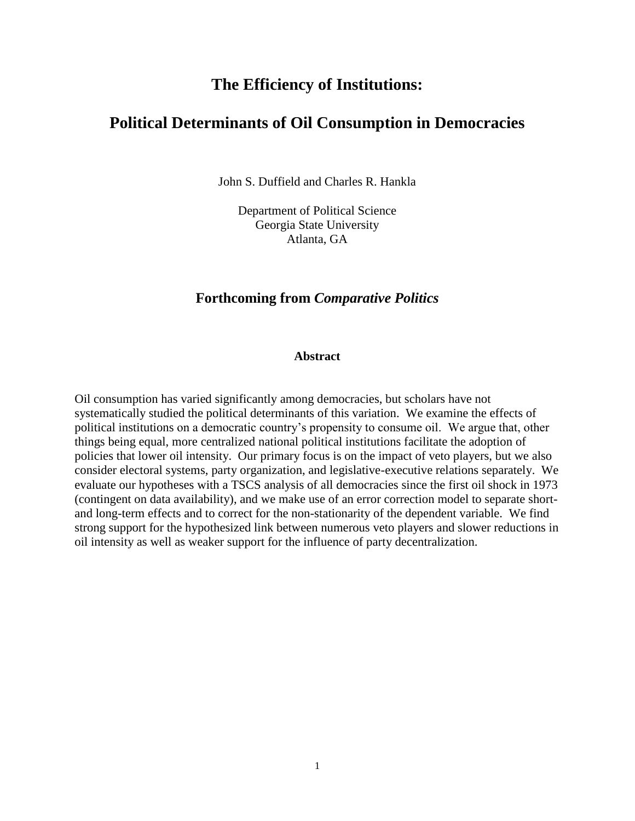### **The Efficiency of Institutions:**

### **Political Determinants of Oil Consumption in Democracies**

John S. Duffield and Charles R. Hankla

Department of Political Science Georgia State University Atlanta, GA

### **Forthcoming from** *Comparative Politics*

#### **Abstract**

Oil consumption has varied significantly among democracies, but scholars have not systematically studied the political determinants of this variation. We examine the effects of political institutions on a democratic country's propensity to consume oil. We argue that, other things being equal, more centralized national political institutions facilitate the adoption of policies that lower oil intensity. Our primary focus is on the impact of veto players, but we also consider electoral systems, party organization, and legislative-executive relations separately. We evaluate our hypotheses with a TSCS analysis of all democracies since the first oil shock in 1973 (contingent on data availability), and we make use of an error correction model to separate shortand long-term effects and to correct for the non-stationarity of the dependent variable. We find strong support for the hypothesized link between numerous veto players and slower reductions in oil intensity as well as weaker support for the influence of party decentralization.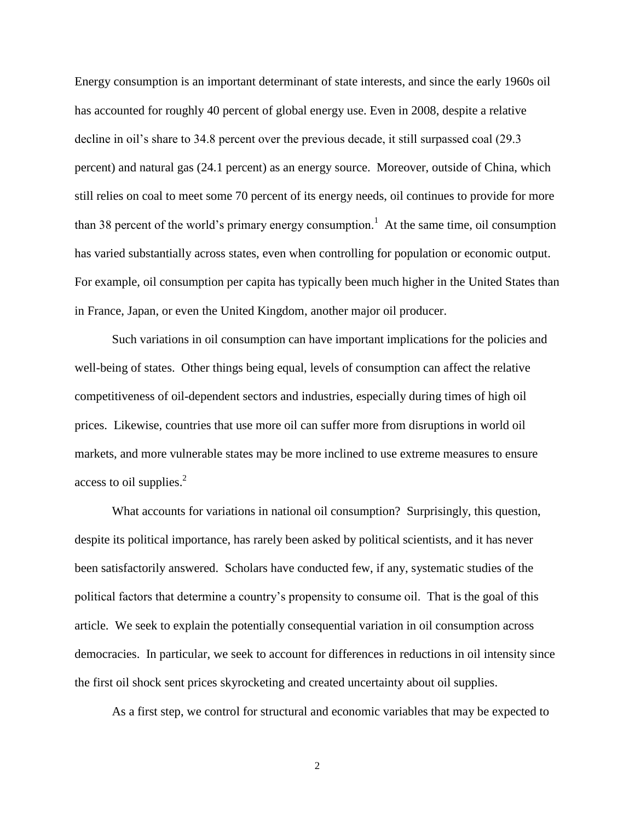Energy consumption is an important determinant of state interests, and since the early 1960s oil has accounted for roughly 40 percent of global energy use. Even in 2008, despite a relative decline in oil's share to 34.8 percent over the previous decade, it still surpassed coal (29.3 percent) and natural gas (24.1 percent) as an energy source. Moreover, outside of China, which still relies on coal to meet some 70 percent of its energy needs, oil continues to provide for more than 38 percent of the world's primary energy consumption.<sup>1</sup> At the same time, oil consumption has varied substantially across states, even when controlling for population or economic output. For example, oil consumption per capita has typically been much higher in the United States than in France, Japan, or even the United Kingdom, another major oil producer.

Such variations in oil consumption can have important implications for the policies and well-being of states. Other things being equal, levels of consumption can affect the relative competitiveness of oil-dependent sectors and industries, especially during times of high oil prices. Likewise, countries that use more oil can suffer more from disruptions in world oil markets, and more vulnerable states may be more inclined to use extreme measures to ensure access to oil supplies.<sup>2</sup>

What accounts for variations in national oil consumption? Surprisingly, this question, despite its political importance, has rarely been asked by political scientists, and it has never been satisfactorily answered. Scholars have conducted few, if any, systematic studies of the political factors that determine a country's propensity to consume oil. That is the goal of this article. We seek to explain the potentially consequential variation in oil consumption across democracies. In particular, we seek to account for differences in reductions in oil intensity since the first oil shock sent prices skyrocketing and created uncertainty about oil supplies.

As a first step, we control for structural and economic variables that may be expected to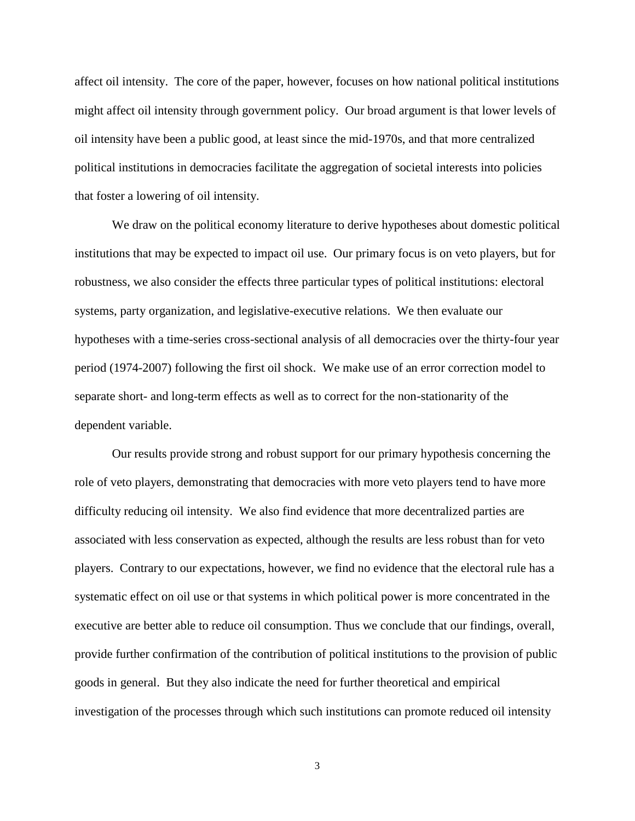affect oil intensity. The core of the paper, however, focuses on how national political institutions might affect oil intensity through government policy. Our broad argument is that lower levels of oil intensity have been a public good, at least since the mid-1970s, and that more centralized political institutions in democracies facilitate the aggregation of societal interests into policies that foster a lowering of oil intensity.

We draw on the political economy literature to derive hypotheses about domestic political institutions that may be expected to impact oil use. Our primary focus is on veto players, but for robustness, we also consider the effects three particular types of political institutions: electoral systems, party organization, and legislative-executive relations. We then evaluate our hypotheses with a time-series cross-sectional analysis of all democracies over the thirty-four year period (1974-2007) following the first oil shock. We make use of an error correction model to separate short- and long-term effects as well as to correct for the non-stationarity of the dependent variable.

Our results provide strong and robust support for our primary hypothesis concerning the role of veto players, demonstrating that democracies with more veto players tend to have more difficulty reducing oil intensity. We also find evidence that more decentralized parties are associated with less conservation as expected, although the results are less robust than for veto players. Contrary to our expectations, however, we find no evidence that the electoral rule has a systematic effect on oil use or that systems in which political power is more concentrated in the executive are better able to reduce oil consumption. Thus we conclude that our findings, overall, provide further confirmation of the contribution of political institutions to the provision of public goods in general. But they also indicate the need for further theoretical and empirical investigation of the processes through which such institutions can promote reduced oil intensity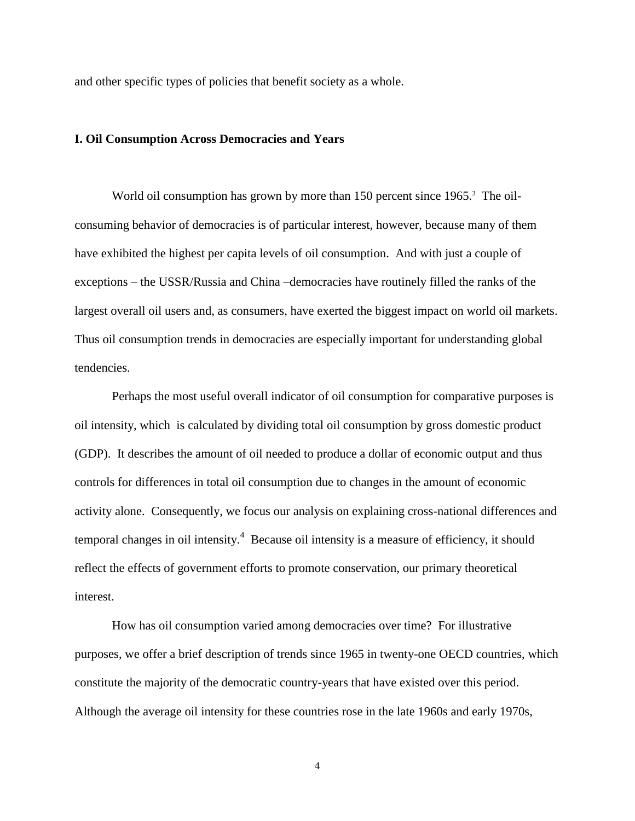and other specific types of policies that benefit society as a whole.

#### **I. Oil Consumption Across Democracies and Years**

World oil consumption has grown by more than 150 percent since 1965.<sup>3</sup> The oilconsuming behavior of democracies is of particular interest, however, because many of them have exhibited the highest per capita levels of oil consumption. And with just a couple of exceptions – the USSR/Russia and China –democracies have routinely filled the ranks of the largest overall oil users and, as consumers, have exerted the biggest impact on world oil markets. Thus oil consumption trends in democracies are especially important for understanding global tendencies.

 Perhaps the most useful overall indicator of oil consumption for comparative purposes is oil intensity, which is calculated by dividing total oil consumption by gross domestic product (GDP). It describes the amount of oil needed to produce a dollar of economic output and thus controls for differences in total oil consumption due to changes in the amount of economic activity alone. Consequently, we focus our analysis on explaining cross-national differences and temporal changes in oil intensity.<sup>4</sup> Because oil intensity is a measure of efficiency, it should reflect the effects of government efforts to promote conservation, our primary theoretical interest.

How has oil consumption varied among democracies over time? For illustrative purposes, we offer a brief description of trends since 1965 in twenty-one OECD countries, which constitute the majority of the democratic country-years that have existed over this period. Although the average oil intensity for these countries rose in the late 1960s and early 1970s,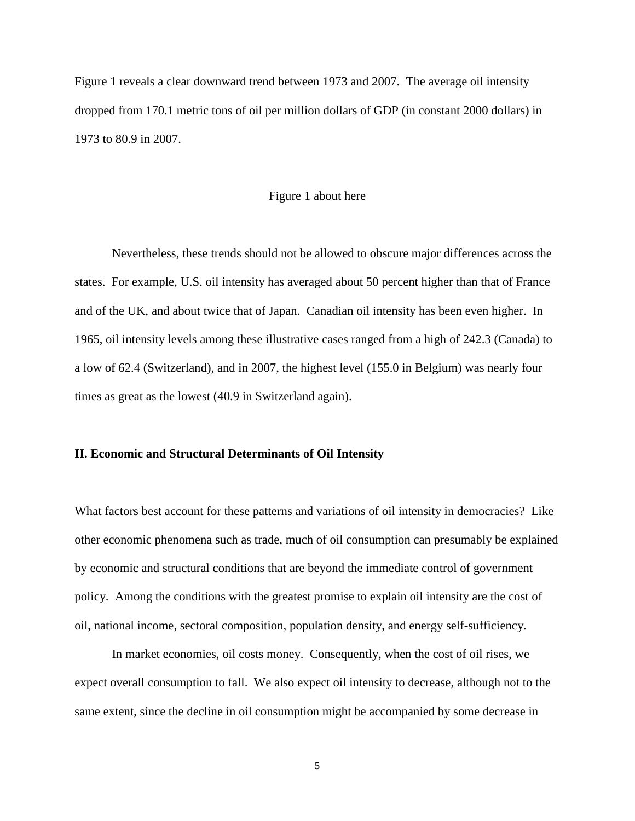Figure 1 reveals a clear downward trend between 1973 and 2007. The average oil intensity dropped from 170.1 metric tons of oil per million dollars of GDP (in constant 2000 dollars) in 1973 to 80.9 in 2007.

#### Figure 1 about here

Nevertheless, these trends should not be allowed to obscure major differences across the states. For example, U.S. oil intensity has averaged about 50 percent higher than that of France and of the UK, and about twice that of Japan. Canadian oil intensity has been even higher. In 1965, oil intensity levels among these illustrative cases ranged from a high of 242.3 (Canada) to a low of 62.4 (Switzerland), and in 2007, the highest level (155.0 in Belgium) was nearly four times as great as the lowest (40.9 in Switzerland again).

#### **II. Economic and Structural Determinants of Oil Intensity**

What factors best account for these patterns and variations of oil intensity in democracies? Like other economic phenomena such as trade, much of oil consumption can presumably be explained by economic and structural conditions that are beyond the immediate control of government policy. Among the conditions with the greatest promise to explain oil intensity are the cost of oil, national income, sectoral composition, population density, and energy self-sufficiency.

In market economies, oil costs money. Consequently, when the cost of oil rises, we expect overall consumption to fall. We also expect oil intensity to decrease, although not to the same extent, since the decline in oil consumption might be accompanied by some decrease in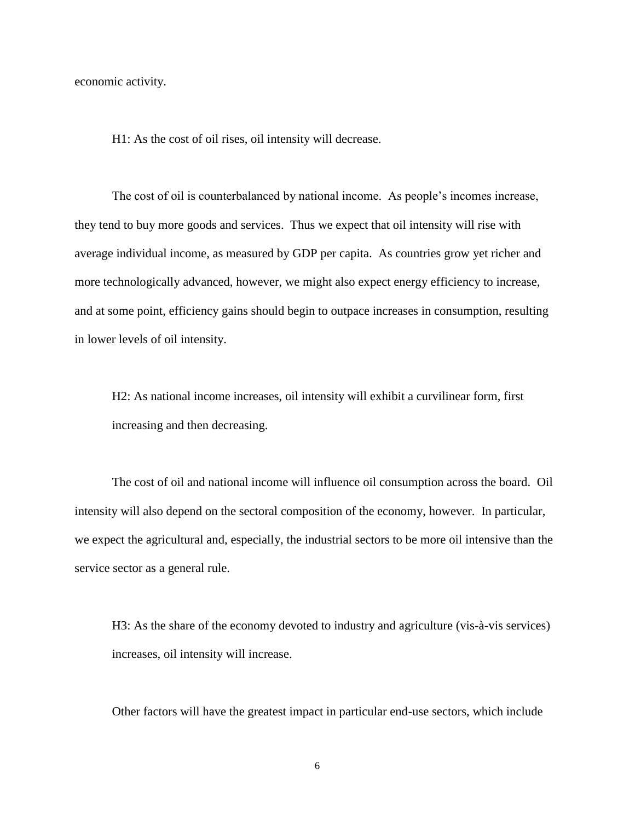economic activity.

H1: As the cost of oil rises, oil intensity will decrease.

The cost of oil is counterbalanced by national income. As people's incomes increase, they tend to buy more goods and services. Thus we expect that oil intensity will rise with average individual income, as measured by GDP per capita. As countries grow yet richer and more technologically advanced, however, we might also expect energy efficiency to increase, and at some point, efficiency gains should begin to outpace increases in consumption, resulting in lower levels of oil intensity.

H2: As national income increases, oil intensity will exhibit a curvilinear form, first increasing and then decreasing.

The cost of oil and national income will influence oil consumption across the board. Oil intensity will also depend on the sectoral composition of the economy, however. In particular, we expect the agricultural and, especially, the industrial sectors to be more oil intensive than the service sector as a general rule.

H3: As the share of the economy devoted to industry and agriculture (vis-à-vis services) increases, oil intensity will increase.

Other factors will have the greatest impact in particular end-use sectors, which include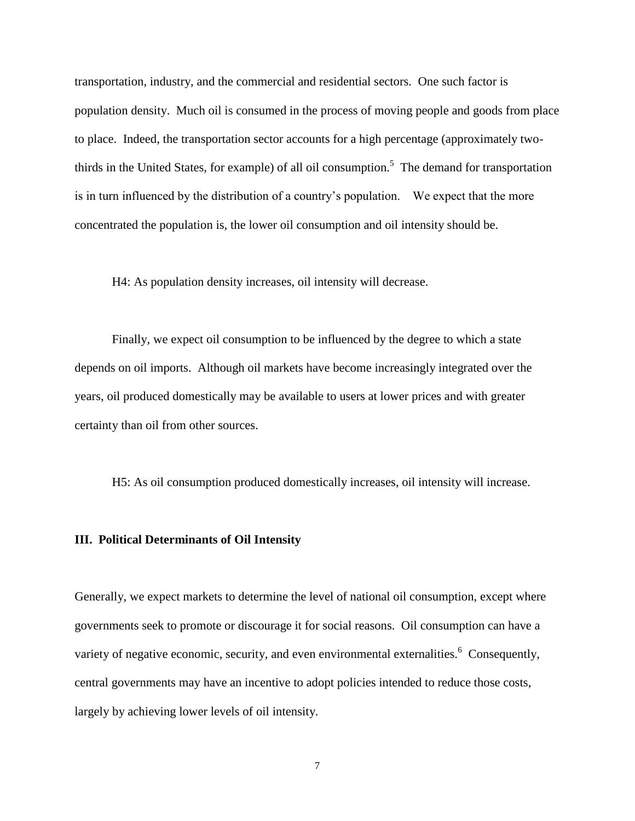transportation, industry, and the commercial and residential sectors. One such factor is population density. Much oil is consumed in the process of moving people and goods from place to place. Indeed, the transportation sector accounts for a high percentage (approximately twothirds in the United States, for example) of all oil consumption.<sup>5</sup> The demand for transportation is in turn influenced by the distribution of a country's population. We expect that the more concentrated the population is, the lower oil consumption and oil intensity should be.

H4: As population density increases, oil intensity will decrease.

Finally, we expect oil consumption to be influenced by the degree to which a state depends on oil imports. Although oil markets have become increasingly integrated over the years, oil produced domestically may be available to users at lower prices and with greater certainty than oil from other sources.

H5: As oil consumption produced domestically increases, oil intensity will increase.

#### **III. Political Determinants of Oil Intensity**

Generally, we expect markets to determine the level of national oil consumption, except where governments seek to promote or discourage it for social reasons. Oil consumption can have a variety of negative economic, security, and even environmental externalities.<sup>6</sup> Consequently, central governments may have an incentive to adopt policies intended to reduce those costs, largely by achieving lower levels of oil intensity.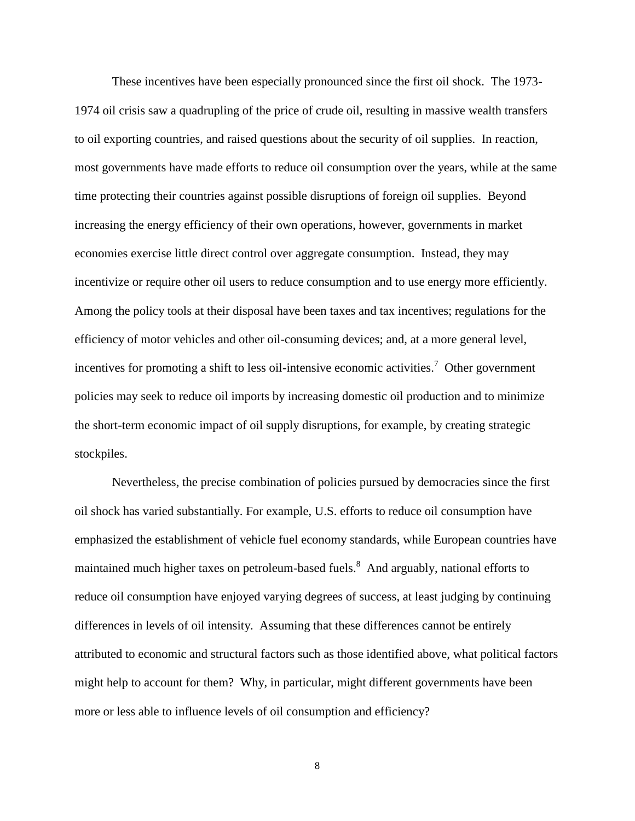These incentives have been especially pronounced since the first oil shock. The 1973- 1974 oil crisis saw a quadrupling of the price of crude oil, resulting in massive wealth transfers to oil exporting countries, and raised questions about the security of oil supplies. In reaction, most governments have made efforts to reduce oil consumption over the years, while at the same time protecting their countries against possible disruptions of foreign oil supplies. Beyond increasing the energy efficiency of their own operations, however, governments in market economies exercise little direct control over aggregate consumption. Instead, they may incentivize or require other oil users to reduce consumption and to use energy more efficiently. Among the policy tools at their disposal have been taxes and tax incentives; regulations for the efficiency of motor vehicles and other oil-consuming devices; and, at a more general level, incentives for promoting a shift to less oil-intensive economic activities.<sup>7</sup> Other government policies may seek to reduce oil imports by increasing domestic oil production and to minimize the short-term economic impact of oil supply disruptions, for example, by creating strategic stockpiles.

Nevertheless, the precise combination of policies pursued by democracies since the first oil shock has varied substantially. For example, U.S. efforts to reduce oil consumption have emphasized the establishment of vehicle fuel economy standards, while European countries have maintained much higher taxes on petroleum-based fuels.<sup>8</sup> And arguably, national efforts to reduce oil consumption have enjoyed varying degrees of success, at least judging by continuing differences in levels of oil intensity. Assuming that these differences cannot be entirely attributed to economic and structural factors such as those identified above, what political factors might help to account for them? Why, in particular, might different governments have been more or less able to influence levels of oil consumption and efficiency?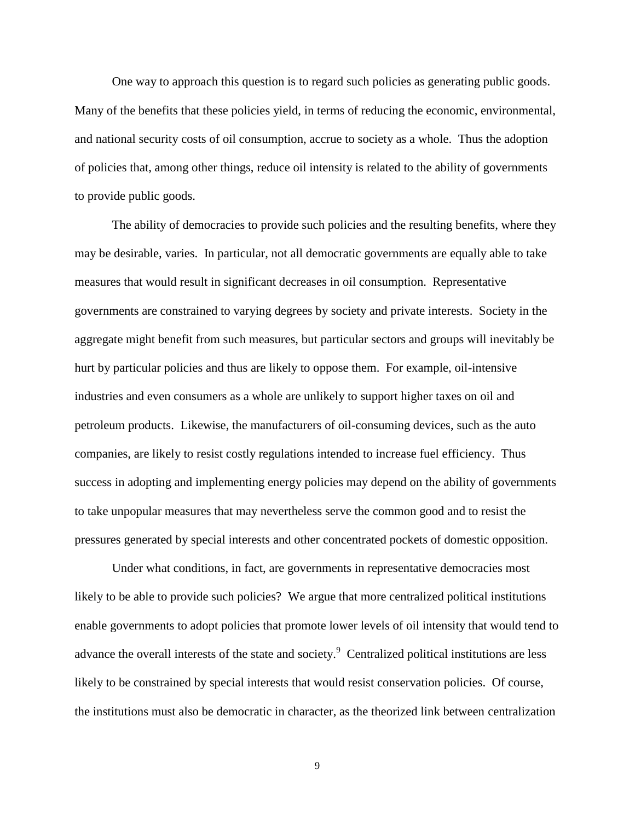One way to approach this question is to regard such policies as generating public goods. Many of the benefits that these policies yield, in terms of reducing the economic, environmental, and national security costs of oil consumption, accrue to society as a whole. Thus the adoption of policies that, among other things, reduce oil intensity is related to the ability of governments to provide public goods.

The ability of democracies to provide such policies and the resulting benefits, where they may be desirable, varies. In particular, not all democratic governments are equally able to take measures that would result in significant decreases in oil consumption. Representative governments are constrained to varying degrees by society and private interests. Society in the aggregate might benefit from such measures, but particular sectors and groups will inevitably be hurt by particular policies and thus are likely to oppose them. For example, oil-intensive industries and even consumers as a whole are unlikely to support higher taxes on oil and petroleum products. Likewise, the manufacturers of oil-consuming devices, such as the auto companies, are likely to resist costly regulations intended to increase fuel efficiency. Thus success in adopting and implementing energy policies may depend on the ability of governments to take unpopular measures that may nevertheless serve the common good and to resist the pressures generated by special interests and other concentrated pockets of domestic opposition.

Under what conditions, in fact, are governments in representative democracies most likely to be able to provide such policies? We argue that more centralized political institutions enable governments to adopt policies that promote lower levels of oil intensity that would tend to advance the overall interests of the state and society.<sup>9</sup> Centralized political institutions are less likely to be constrained by special interests that would resist conservation policies. Of course, the institutions must also be democratic in character, as the theorized link between centralization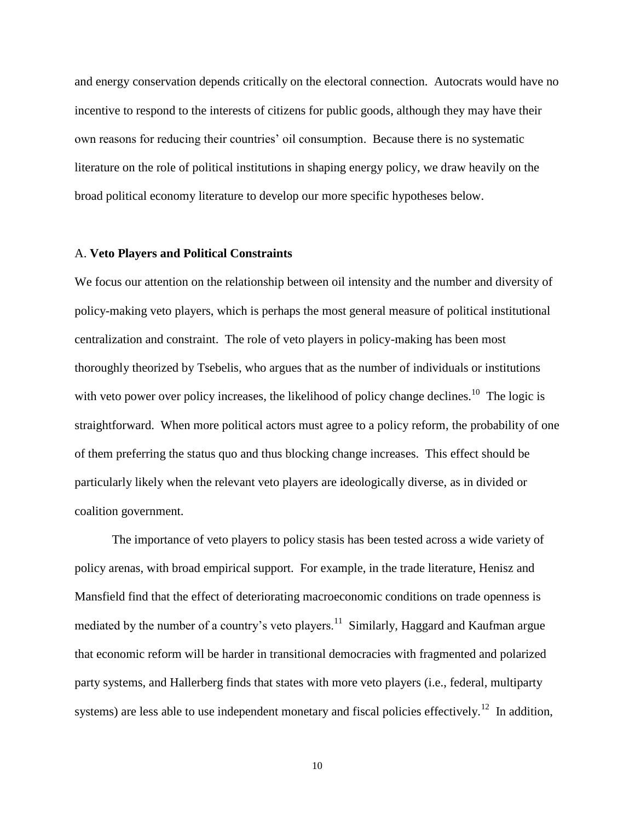and energy conservation depends critically on the electoral connection. Autocrats would have no incentive to respond to the interests of citizens for public goods, although they may have their own reasons for reducing their countries' oil consumption. Because there is no systematic literature on the role of political institutions in shaping energy policy, we draw heavily on the broad political economy literature to develop our more specific hypotheses below.

#### A. **Veto Players and Political Constraints**

We focus our attention on the relationship between oil intensity and the number and diversity of policy-making veto players, which is perhaps the most general measure of political institutional centralization and constraint. The role of veto players in policy-making has been most thoroughly theorized by Tsebelis, who argues that as the number of individuals or institutions with veto power over policy increases, the likelihood of policy change declines.<sup>10</sup> The logic is straightforward. When more political actors must agree to a policy reform, the probability of one of them preferring the status quo and thus blocking change increases. This effect should be particularly likely when the relevant veto players are ideologically diverse, as in divided or coalition government.

The importance of veto players to policy stasis has been tested across a wide variety of policy arenas, with broad empirical support. For example, in the trade literature, Henisz and Mansfield find that the effect of deteriorating macroeconomic conditions on trade openness is mediated by the number of a country's veto players.<sup>11</sup> Similarly, Haggard and Kaufman argue that economic reform will be harder in transitional democracies with fragmented and polarized party systems, and Hallerberg finds that states with more veto players (i.e., federal, multiparty systems) are less able to use independent monetary and fiscal policies effectively.<sup>12</sup> In addition,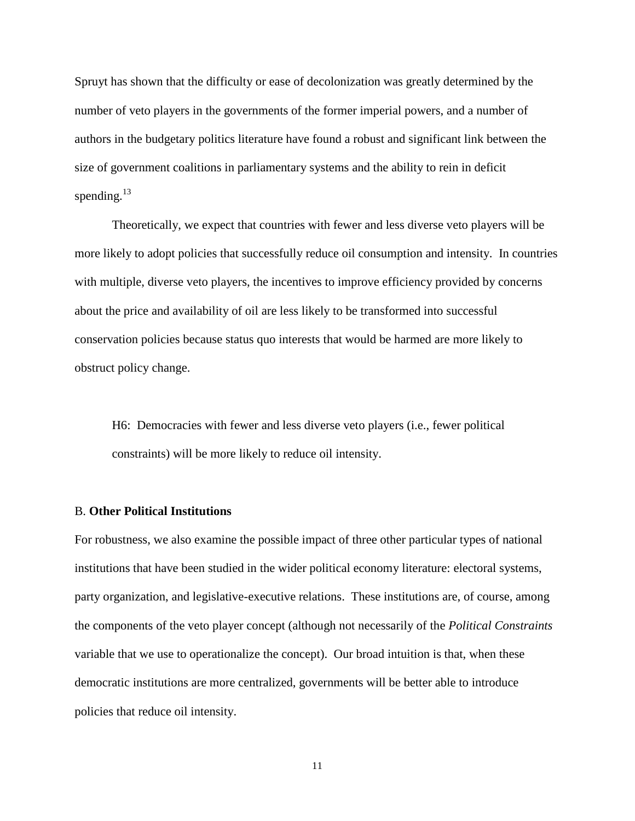Spruyt has shown that the difficulty or ease of decolonization was greatly determined by the number of veto players in the governments of the former imperial powers, and a number of authors in the budgetary politics literature have found a robust and significant link between the size of government coalitions in parliamentary systems and the ability to rein in deficit spending.<sup>13</sup>

Theoretically, we expect that countries with fewer and less diverse veto players will be more likely to adopt policies that successfully reduce oil consumption and intensity. In countries with multiple, diverse veto players, the incentives to improve efficiency provided by concerns about the price and availability of oil are less likely to be transformed into successful conservation policies because status quo interests that would be harmed are more likely to obstruct policy change.

H6: Democracies with fewer and less diverse veto players (i.e., fewer political constraints) will be more likely to reduce oil intensity.

#### B. **Other Political Institutions**

For robustness, we also examine the possible impact of three other particular types of national institutions that have been studied in the wider political economy literature: electoral systems, party organization, and legislative-executive relations. These institutions are, of course, among the components of the veto player concept (although not necessarily of the *Political Constraints* variable that we use to operationalize the concept). Our broad intuition is that, when these democratic institutions are more centralized, governments will be better able to introduce policies that reduce oil intensity.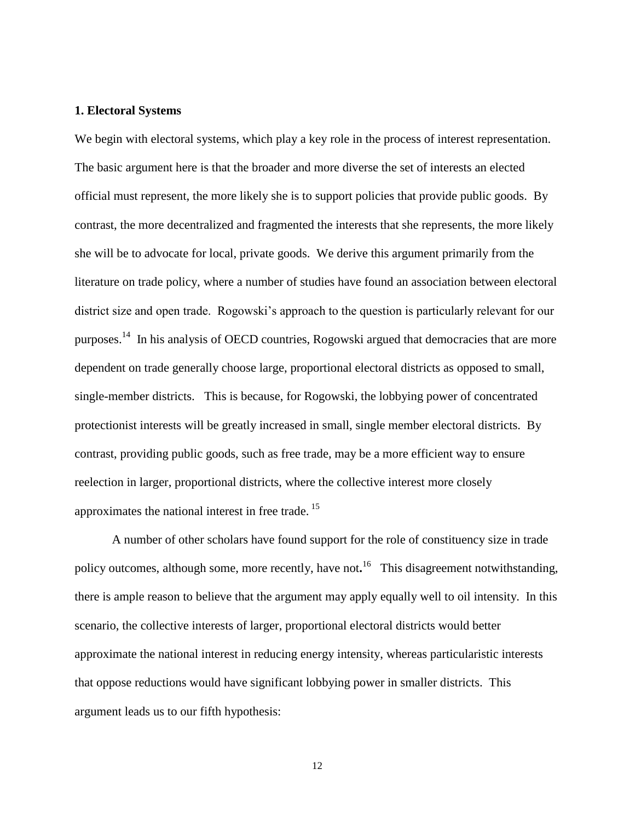#### **1. Electoral Systems**

We begin with electoral systems, which play a key role in the process of interest representation. The basic argument here is that the broader and more diverse the set of interests an elected official must represent, the more likely she is to support policies that provide public goods. By contrast, the more decentralized and fragmented the interests that she represents, the more likely she will be to advocate for local, private goods. We derive this argument primarily from the literature on trade policy, where a number of studies have found an association between electoral district size and open trade. Rogowski's approach to the question is particularly relevant for our purposes.<sup>14</sup> In his analysis of OECD countries, Rogowski argued that democracies that are more dependent on trade generally choose large, proportional electoral districts as opposed to small, single-member districts. This is because, for Rogowski, the lobbying power of concentrated protectionist interests will be greatly increased in small, single member electoral districts. By contrast, providing public goods, such as free trade, may be a more efficient way to ensure reelection in larger, proportional districts, where the collective interest more closely approximates the national interest in free trade.<sup>15</sup>

A number of other scholars have found support for the role of constituency size in trade policy outcomes, although some, more recently, have not.<sup>16</sup> This disagreement notwithstanding, there is ample reason to believe that the argument may apply equally well to oil intensity. In this scenario, the collective interests of larger, proportional electoral districts would better approximate the national interest in reducing energy intensity, whereas particularistic interests that oppose reductions would have significant lobbying power in smaller districts. This argument leads us to our fifth hypothesis: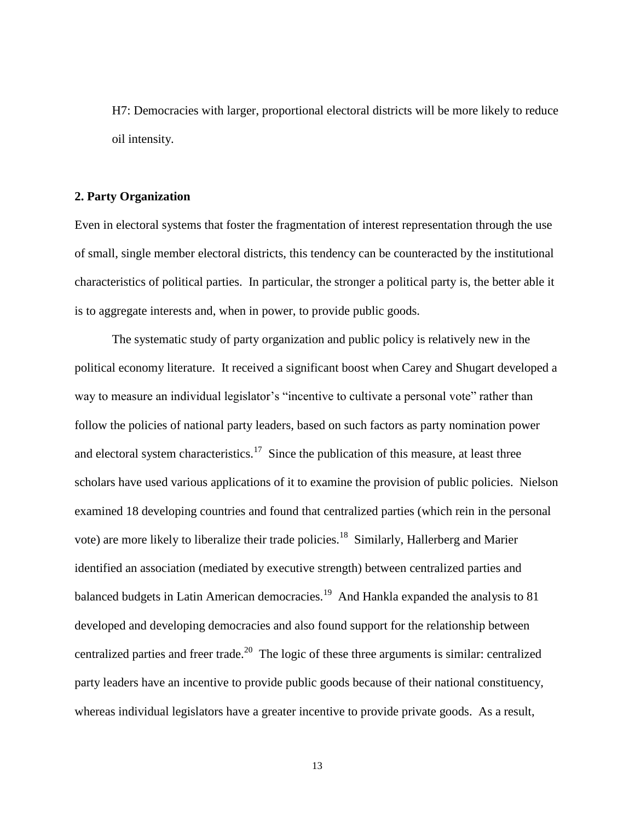H7: Democracies with larger, proportional electoral districts will be more likely to reduce oil intensity.

#### **2. Party Organization**

Even in electoral systems that foster the fragmentation of interest representation through the use of small, single member electoral districts, this tendency can be counteracted by the institutional characteristics of political parties. In particular, the stronger a political party is, the better able it is to aggregate interests and, when in power, to provide public goods.

The systematic study of party organization and public policy is relatively new in the political economy literature. It received a significant boost when Carey and Shugart developed a way to measure an individual legislator's "incentive to cultivate a personal vote" rather than follow the policies of national party leaders, based on such factors as party nomination power and electoral system characteristics.<sup>17</sup> Since the publication of this measure, at least three scholars have used various applications of it to examine the provision of public policies. Nielson examined 18 developing countries and found that centralized parties (which rein in the personal vote) are more likely to liberalize their trade policies.<sup>18</sup> Similarly, Hallerberg and Marier identified an association (mediated by executive strength) between centralized parties and balanced budgets in Latin American democracies.<sup>19</sup> And Hankla expanded the analysis to 81 developed and developing democracies and also found support for the relationship between centralized parties and freer trade.<sup>20</sup> The logic of these three arguments is similar: centralized party leaders have an incentive to provide public goods because of their national constituency, whereas individual legislators have a greater incentive to provide private goods. As a result,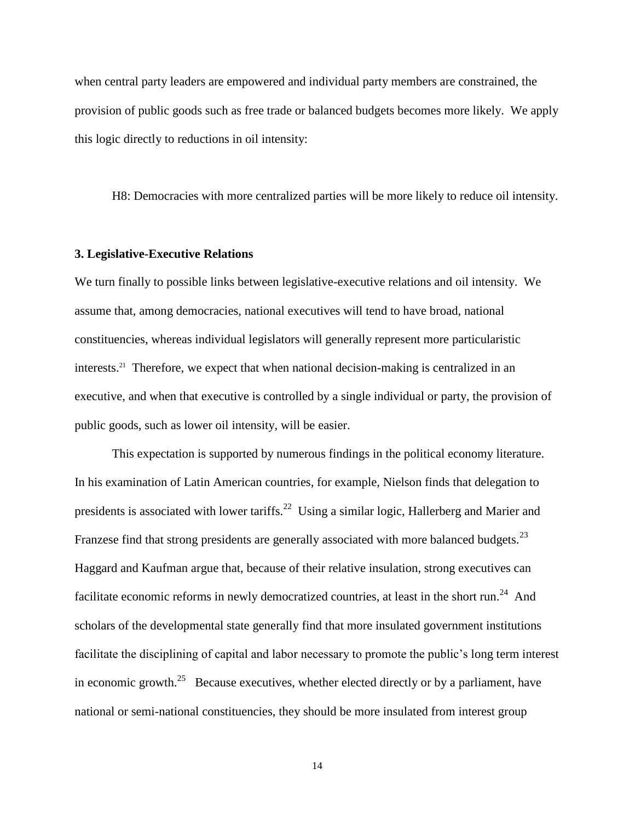when central party leaders are empowered and individual party members are constrained, the provision of public goods such as free trade or balanced budgets becomes more likely. We apply this logic directly to reductions in oil intensity:

H8: Democracies with more centralized parties will be more likely to reduce oil intensity.

#### **3. Legislative-Executive Relations**

We turn finally to possible links between legislative-executive relations and oil intensity. We assume that, among democracies, national executives will tend to have broad, national constituencies, whereas individual legislators will generally represent more particularistic interests.<sup>21</sup> Therefore, we expect that when national decision-making is centralized in an executive, and when that executive is controlled by a single individual or party, the provision of public goods, such as lower oil intensity, will be easier.

This expectation is supported by numerous findings in the political economy literature. In his examination of Latin American countries, for example, Nielson finds that delegation to presidents is associated with lower tariffs.<sup>22</sup> Using a similar logic, Hallerberg and Marier and Franzese find that strong presidents are generally associated with more balanced budgets.<sup>23</sup> Haggard and Kaufman argue that, because of their relative insulation, strong executives can facilitate economic reforms in newly democratized countries, at least in the short run.<sup>24</sup> And scholars of the developmental state generally find that more insulated government institutions facilitate the disciplining of capital and labor necessary to promote the public's long term interest in economic growth.<sup>25</sup> Because executives, whether elected directly or by a parliament, have national or semi-national constituencies, they should be more insulated from interest group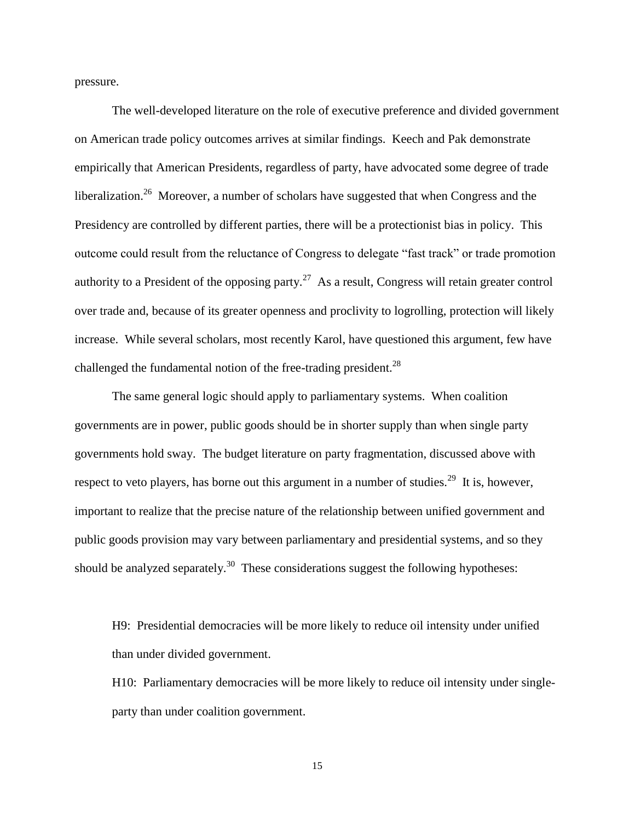pressure.

The well-developed literature on the role of executive preference and divided government on American trade policy outcomes arrives at similar findings. Keech and Pak demonstrate empirically that American Presidents, regardless of party, have advocated some degree of trade liberalization.<sup>26</sup> Moreover, a number of scholars have suggested that when Congress and the Presidency are controlled by different parties, there will be a protectionist bias in policy. This outcome could result from the reluctance of Congress to delegate "fast track" or trade promotion authority to a President of the opposing party.<sup>27</sup> As a result, Congress will retain greater control over trade and, because of its greater openness and proclivity to logrolling, protection will likely increase. While several scholars, most recently Karol, have questioned this argument, few have challenged the fundamental notion of the free-trading president.<sup>28</sup>

The same general logic should apply to parliamentary systems. When coalition governments are in power, public goods should be in shorter supply than when single party governments hold sway. The budget literature on party fragmentation, discussed above with respect to veto players, has borne out this argument in a number of studies.<sup>29</sup> It is, however, important to realize that the precise nature of the relationship between unified government and public goods provision may vary between parliamentary and presidential systems, and so they should be analyzed separately.<sup>30</sup> These considerations suggest the following hypotheses:

H9: Presidential democracies will be more likely to reduce oil intensity under unified than under divided government.

H10: Parliamentary democracies will be more likely to reduce oil intensity under singleparty than under coalition government.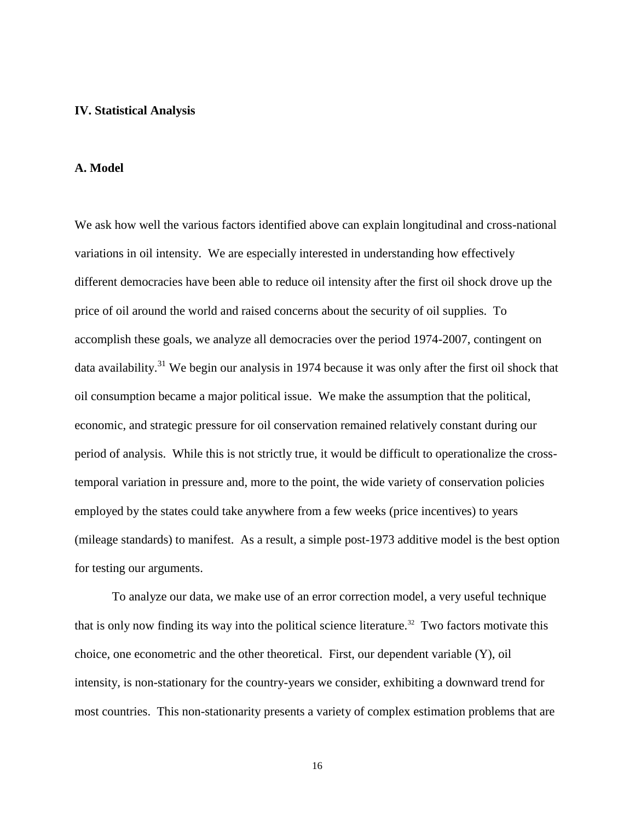#### **IV. Statistical Analysis**

#### **A. Model**

We ask how well the various factors identified above can explain longitudinal and cross-national variations in oil intensity. We are especially interested in understanding how effectively different democracies have been able to reduce oil intensity after the first oil shock drove up the price of oil around the world and raised concerns about the security of oil supplies. To accomplish these goals, we analyze all democracies over the period 1974-2007, contingent on data availability.<sup>31</sup> We begin our analysis in 1974 because it was only after the first oil shock that oil consumption became a major political issue. We make the assumption that the political, economic, and strategic pressure for oil conservation remained relatively constant during our period of analysis. While this is not strictly true, it would be difficult to operationalize the crosstemporal variation in pressure and, more to the point, the wide variety of conservation policies employed by the states could take anywhere from a few weeks (price incentives) to years (mileage standards) to manifest. As a result, a simple post-1973 additive model is the best option for testing our arguments.

To analyze our data, we make use of an error correction model, a very useful technique that is only now finding its way into the political science literature.<sup>32</sup> Two factors motivate this choice, one econometric and the other theoretical. First, our dependent variable (Y), oil intensity, is non-stationary for the country-years we consider, exhibiting a downward trend for most countries. This non-stationarity presents a variety of complex estimation problems that are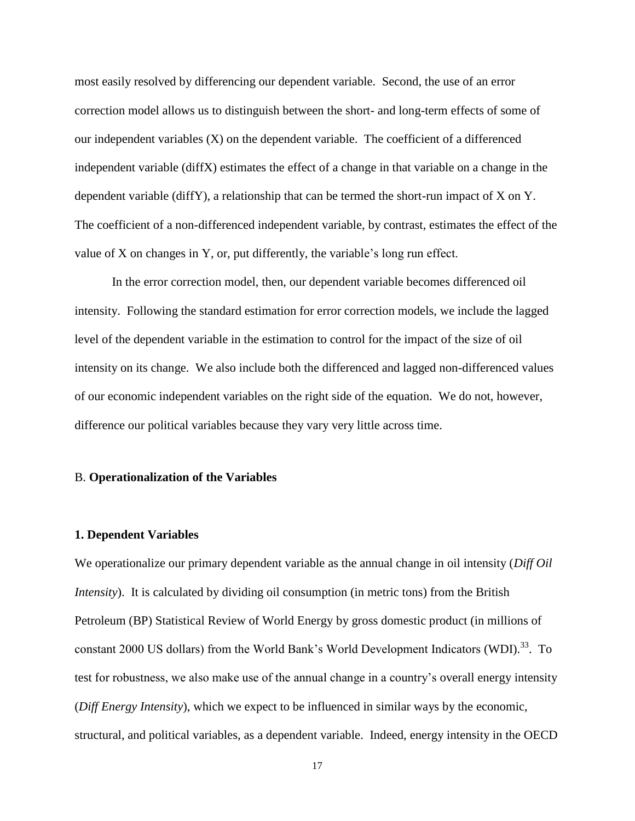most easily resolved by differencing our dependent variable. Second, the use of an error correction model allows us to distinguish between the short- and long-term effects of some of our independent variables  $(X)$  on the dependent variable. The coefficient of a differenced independent variable (diffX) estimates the effect of a change in that variable on a change in the dependent variable (diffY), a relationship that can be termed the short-run impact of X on Y. The coefficient of a non-differenced independent variable, by contrast, estimates the effect of the value of X on changes in Y, or, put differently, the variable's long run effect.

In the error correction model, then, our dependent variable becomes differenced oil intensity. Following the standard estimation for error correction models, we include the lagged level of the dependent variable in the estimation to control for the impact of the size of oil intensity on its change. We also include both the differenced and lagged non-differenced values of our economic independent variables on the right side of the equation. We do not, however, difference our political variables because they vary very little across time.

#### B. **Operationalization of the Variables**

#### **1. Dependent Variables**

We operationalize our primary dependent variable as the annual change in oil intensity (*Diff Oil Intensity*). It is calculated by dividing oil consumption (in metric tons) from the British Petroleum (BP) Statistical Review of World Energy by gross domestic product (in millions of constant 2000 US dollars) from the World Bank's World Development Indicators (WDI).<sup>33</sup>. To test for robustness, we also make use of the annual change in a country's overall energy intensity (*Diff Energy Intensity*), which we expect to be influenced in similar ways by the economic, structural, and political variables, as a dependent variable. Indeed, energy intensity in the OECD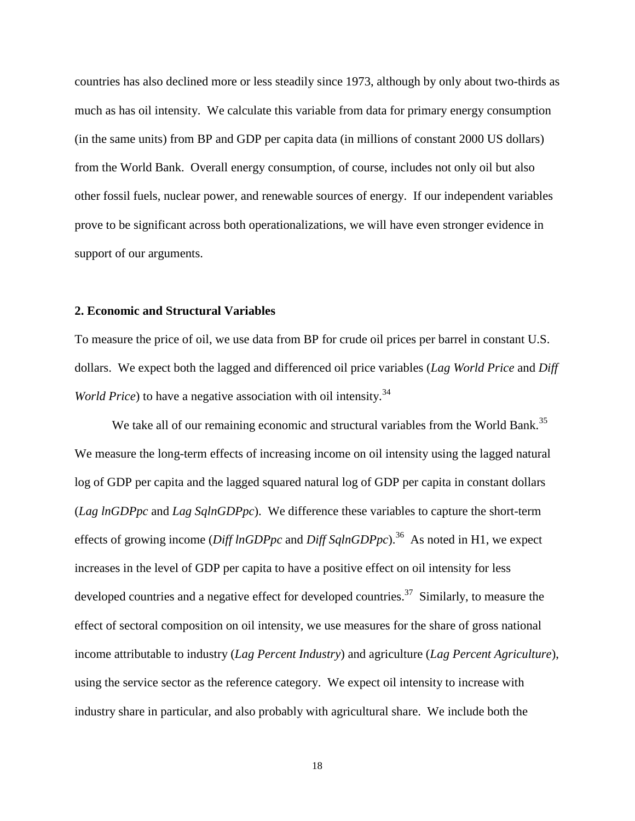countries has also declined more or less steadily since 1973, although by only about two-thirds as much as has oil intensity. We calculate this variable from data for primary energy consumption (in the same units) from BP and GDP per capita data (in millions of constant 2000 US dollars) from the World Bank. Overall energy consumption, of course, includes not only oil but also other fossil fuels, nuclear power, and renewable sources of energy. If our independent variables prove to be significant across both operationalizations, we will have even stronger evidence in support of our arguments.

#### **2. Economic and Structural Variables**

To measure the price of oil, we use data from BP for crude oil prices per barrel in constant U.S. dollars. We expect both the lagged and differenced oil price variables (*Lag World Price* and *Diff World Price*) to have a negative association with oil intensity.<sup>34</sup>

We take all of our remaining economic and structural variables from the World Bank.<sup>35</sup> We measure the long-term effects of increasing income on oil intensity using the lagged natural log of GDP per capita and the lagged squared natural log of GDP per capita in constant dollars (*Lag lnGDPpc* and *Lag SqlnGDPpc*). We difference these variables to capture the short-term effects of growing income (*Diff lnGDPpc* and *Diff SqlnGDPpc*).<sup>36</sup> As noted in H1, we expect increases in the level of GDP per capita to have a positive effect on oil intensity for less developed countries and a negative effect for developed countries.<sup>37</sup> Similarly, to measure the effect of sectoral composition on oil intensity, we use measures for the share of gross national income attributable to industry (*Lag Percent Industry*) and agriculture (*Lag Percent Agriculture*), using the service sector as the reference category. We expect oil intensity to increase with industry share in particular, and also probably with agricultural share. We include both the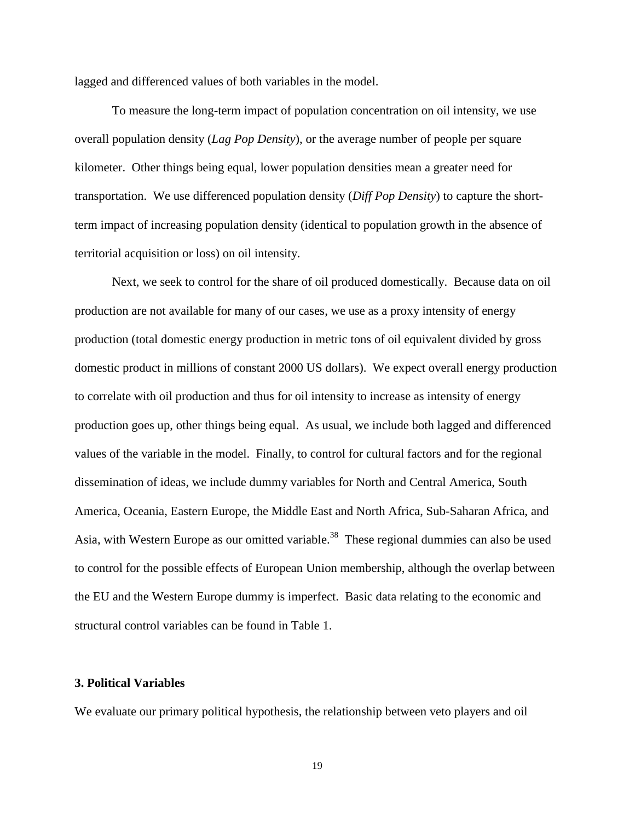lagged and differenced values of both variables in the model.

To measure the long-term impact of population concentration on oil intensity, we use overall population density (*Lag Pop Density*), or the average number of people per square kilometer. Other things being equal, lower population densities mean a greater need for transportation. We use differenced population density (*Diff Pop Density*) to capture the shortterm impact of increasing population density (identical to population growth in the absence of territorial acquisition or loss) on oil intensity.

Next, we seek to control for the share of oil produced domestically. Because data on oil production are not available for many of our cases, we use as a proxy intensity of energy production (total domestic energy production in metric tons of oil equivalent divided by gross domestic product in millions of constant 2000 US dollars). We expect overall energy production to correlate with oil production and thus for oil intensity to increase as intensity of energy production goes up, other things being equal. As usual, we include both lagged and differenced values of the variable in the model. Finally, to control for cultural factors and for the regional dissemination of ideas, we include dummy variables for North and Central America, South America, Oceania, Eastern Europe, the Middle East and North Africa, Sub-Saharan Africa, and Asia, with Western Europe as our omitted variable.<sup>38</sup> These regional dummies can also be used to control for the possible effects of European Union membership, although the overlap between the EU and the Western Europe dummy is imperfect. Basic data relating to the economic and structural control variables can be found in Table 1.

#### **3. Political Variables**

We evaluate our primary political hypothesis, the relationship between veto players and oil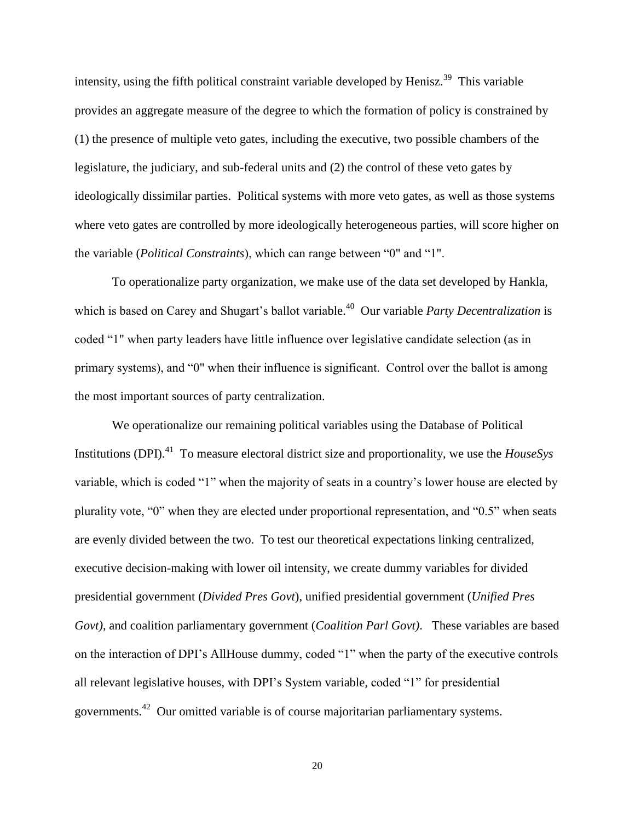intensity, using the fifth political constraint variable developed by Henisz.<sup>39</sup> This variable provides an aggregate measure of the degree to which the formation of policy is constrained by (1) the presence of multiple veto gates, including the executive, two possible chambers of the legislature, the judiciary, and sub-federal units and (2) the control of these veto gates by ideologically dissimilar parties. Political systems with more veto gates, as well as those systems where veto gates are controlled by more ideologically heterogeneous parties, will score higher on the variable (*Political Constraints*), which can range between "0" and "1".

To operationalize party organization, we make use of the data set developed by Hankla, which is based on Carey and Shugart's ballot variable.<sup>40</sup> Our variable *Party Decentralization* is coded "1" when party leaders have little influence over legislative candidate selection (as in primary systems), and "0" when their influence is significant. Control over the ballot is among the most important sources of party centralization.

We operationalize our remaining political variables using the Database of Political Institutions (DPI).<sup>41</sup> To measure electoral district size and proportionality, we use the *HouseSys* variable, which is coded "1" when the majority of seats in a country's lower house are elected by plurality vote, "0" when they are elected under proportional representation, and "0.5" when seats are evenly divided between the two. To test our theoretical expectations linking centralized, executive decision-making with lower oil intensity, we create dummy variables for divided presidential government (*Divided Pres Govt*), unified presidential government (*Unified Pres Govt)*, and coalition parliamentary government (*Coalition Parl Govt)*. These variables are based on the interaction of DPI's AllHouse dummy, coded "1" when the party of the executive controls all relevant legislative houses, with DPI's System variable*,* coded "1" for presidential governments.<sup>42</sup> Our omitted variable is of course majoritarian parliamentary systems.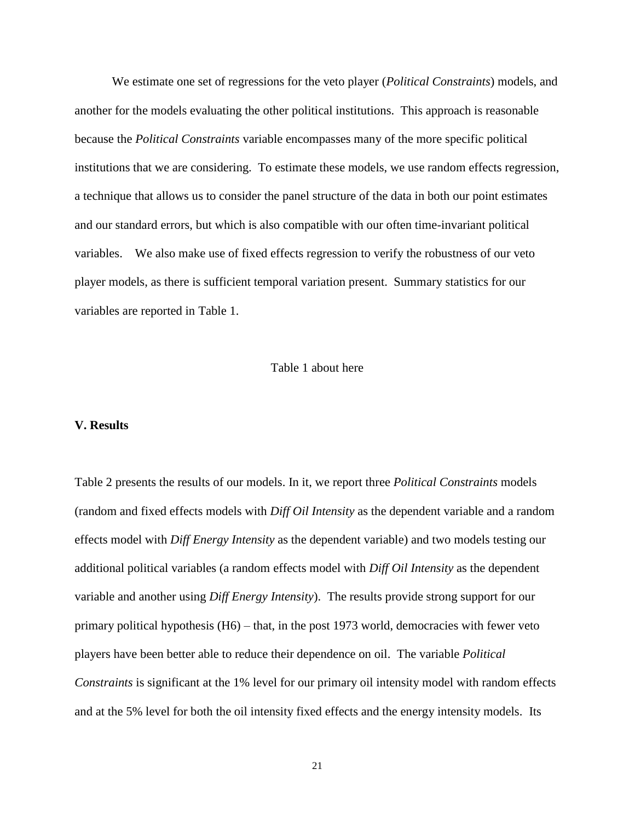We estimate one set of regressions for the veto player (*Political Constraints*) models, and another for the models evaluating the other political institutions. This approach is reasonable because the *Political Constraints* variable encompasses many of the more specific political institutions that we are considering. To estimate these models, we use random effects regression, a technique that allows us to consider the panel structure of the data in both our point estimates and our standard errors, but which is also compatible with our often time-invariant political variables. We also make use of fixed effects regression to verify the robustness of our veto player models, as there is sufficient temporal variation present. Summary statistics for our variables are reported in Table 1.

#### Table 1 about here

#### **V. Results**

Table 2 presents the results of our models. In it, we report three *Political Constraints* models (random and fixed effects models with *Diff Oil Intensity* as the dependent variable and a random effects model with *Diff Energy Intensity* as the dependent variable) and two models testing our additional political variables (a random effects model with *Diff Oil Intensity* as the dependent variable and another using *Diff Energy Intensity*). The results provide strong support for our primary political hypothesis (H6) – that, in the post 1973 world, democracies with fewer veto players have been better able to reduce their dependence on oil. The variable *Political Constraints* is significant at the 1% level for our primary oil intensity model with random effects and at the 5% level for both the oil intensity fixed effects and the energy intensity models. Its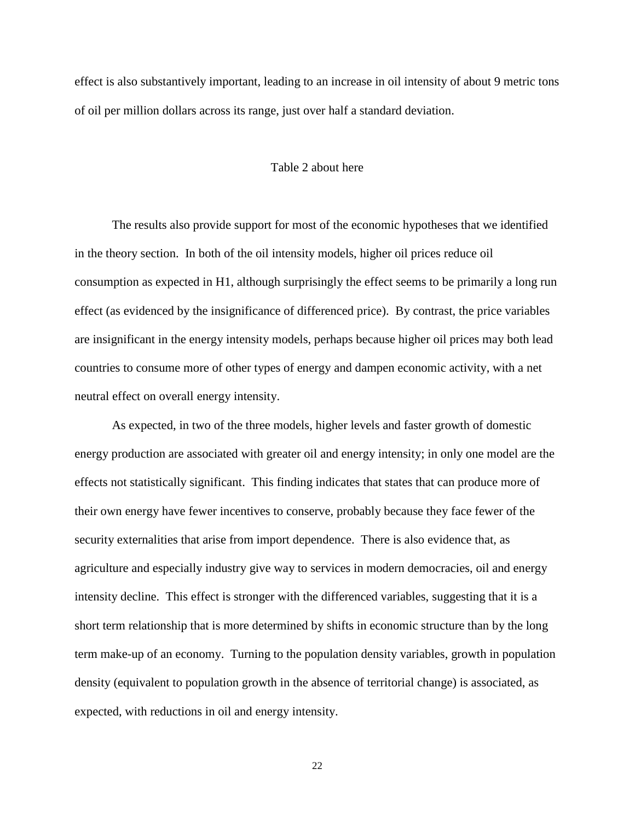effect is also substantively important, leading to an increase in oil intensity of about 9 metric tons of oil per million dollars across its range, just over half a standard deviation.

#### Table 2 about here

The results also provide support for most of the economic hypotheses that we identified in the theory section. In both of the oil intensity models, higher oil prices reduce oil consumption as expected in H1, although surprisingly the effect seems to be primarily a long run effect (as evidenced by the insignificance of differenced price). By contrast, the price variables are insignificant in the energy intensity models, perhaps because higher oil prices may both lead countries to consume more of other types of energy and dampen economic activity, with a net neutral effect on overall energy intensity.

As expected, in two of the three models, higher levels and faster growth of domestic energy production are associated with greater oil and energy intensity; in only one model are the effects not statistically significant. This finding indicates that states that can produce more of their own energy have fewer incentives to conserve, probably because they face fewer of the security externalities that arise from import dependence. There is also evidence that, as agriculture and especially industry give way to services in modern democracies, oil and energy intensity decline. This effect is stronger with the differenced variables, suggesting that it is a short term relationship that is more determined by shifts in economic structure than by the long term make-up of an economy. Turning to the population density variables, growth in population density (equivalent to population growth in the absence of territorial change) is associated, as expected, with reductions in oil and energy intensity.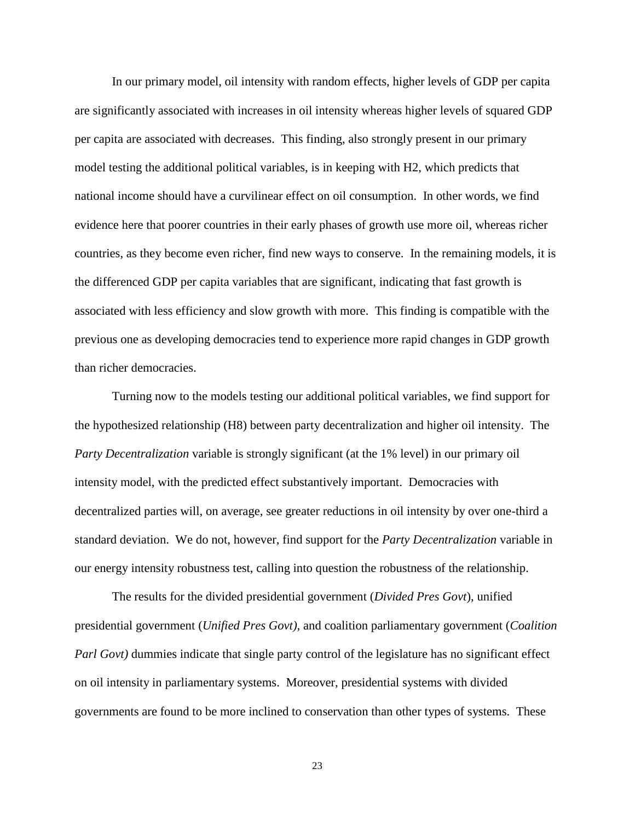In our primary model, oil intensity with random effects, higher levels of GDP per capita are significantly associated with increases in oil intensity whereas higher levels of squared GDP per capita are associated with decreases. This finding, also strongly present in our primary model testing the additional political variables, is in keeping with H2, which predicts that national income should have a curvilinear effect on oil consumption. In other words, we find evidence here that poorer countries in their early phases of growth use more oil, whereas richer countries, as they become even richer, find new ways to conserve. In the remaining models, it is the differenced GDP per capita variables that are significant, indicating that fast growth is associated with less efficiency and slow growth with more. This finding is compatible with the previous one as developing democracies tend to experience more rapid changes in GDP growth than richer democracies.

Turning now to the models testing our additional political variables, we find support for the hypothesized relationship (H8) between party decentralization and higher oil intensity. The *Party Decentralization* variable is strongly significant (at the 1% level) in our primary oil intensity model, with the predicted effect substantively important. Democracies with decentralized parties will, on average, see greater reductions in oil intensity by over one-third a standard deviation. We do not, however, find support for the *Party Decentralization* variable in our energy intensity robustness test, calling into question the robustness of the relationship.

The results for the divided presidential government (*Divided Pres Govt*), unified presidential government (*Unified Pres Govt)*, and coalition parliamentary government (*Coalition Parl Govt*) dummies indicate that single party control of the legislature has no significant effect on oil intensity in parliamentary systems. Moreover, presidential systems with divided governments are found to be more inclined to conservation than other types of systems. These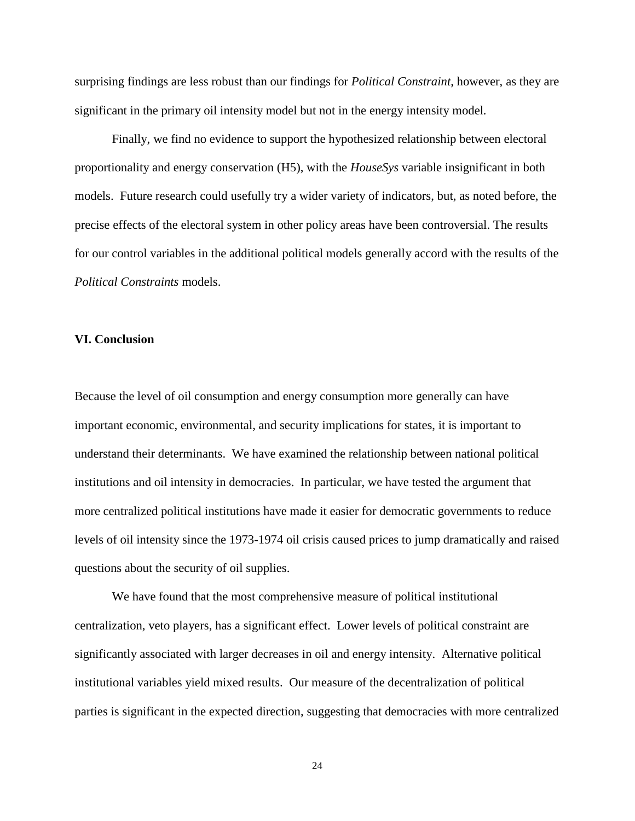surprising findings are less robust than our findings for *Political Constraint*, however, as they are significant in the primary oil intensity model but not in the energy intensity model*.*

Finally, we find no evidence to support the hypothesized relationship between electoral proportionality and energy conservation (H5), with the *HouseSys* variable insignificant in both models. Future research could usefully try a wider variety of indicators, but, as noted before, the precise effects of the electoral system in other policy areas have been controversial. The results for our control variables in the additional political models generally accord with the results of the *Political Constraints* models.

#### **VI. Conclusion**

Because the level of oil consumption and energy consumption more generally can have important economic, environmental, and security implications for states, it is important to understand their determinants. We have examined the relationship between national political institutions and oil intensity in democracies. In particular, we have tested the argument that more centralized political institutions have made it easier for democratic governments to reduce levels of oil intensity since the 1973-1974 oil crisis caused prices to jump dramatically and raised questions about the security of oil supplies.

We have found that the most comprehensive measure of political institutional centralization, veto players, has a significant effect. Lower levels of political constraint are significantly associated with larger decreases in oil and energy intensity. Alternative political institutional variables yield mixed results. Our measure of the decentralization of political parties is significant in the expected direction, suggesting that democracies with more centralized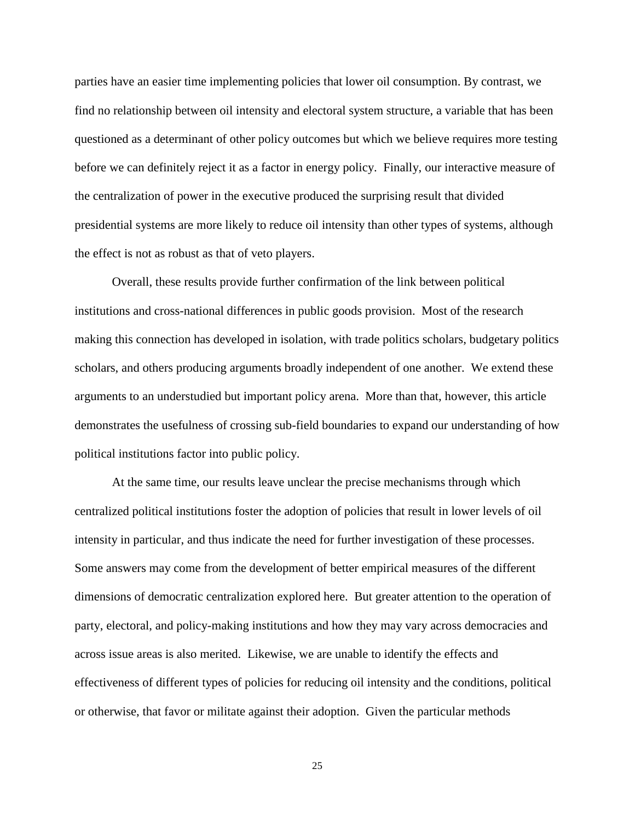parties have an easier time implementing policies that lower oil consumption. By contrast, we find no relationship between oil intensity and electoral system structure, a variable that has been questioned as a determinant of other policy outcomes but which we believe requires more testing before we can definitely reject it as a factor in energy policy. Finally, our interactive measure of the centralization of power in the executive produced the surprising result that divided presidential systems are more likely to reduce oil intensity than other types of systems, although the effect is not as robust as that of veto players.

Overall, these results provide further confirmation of the link between political institutions and cross-national differences in public goods provision. Most of the research making this connection has developed in isolation, with trade politics scholars, budgetary politics scholars, and others producing arguments broadly independent of one another. We extend these arguments to an understudied but important policy arena. More than that, however, this article demonstrates the usefulness of crossing sub-field boundaries to expand our understanding of how political institutions factor into public policy.

At the same time, our results leave unclear the precise mechanisms through which centralized political institutions foster the adoption of policies that result in lower levels of oil intensity in particular, and thus indicate the need for further investigation of these processes. Some answers may come from the development of better empirical measures of the different dimensions of democratic centralization explored here. But greater attention to the operation of party, electoral, and policy-making institutions and how they may vary across democracies and across issue areas is also merited. Likewise, we are unable to identify the effects and effectiveness of different types of policies for reducing oil intensity and the conditions, political or otherwise, that favor or militate against their adoption. Given the particular methods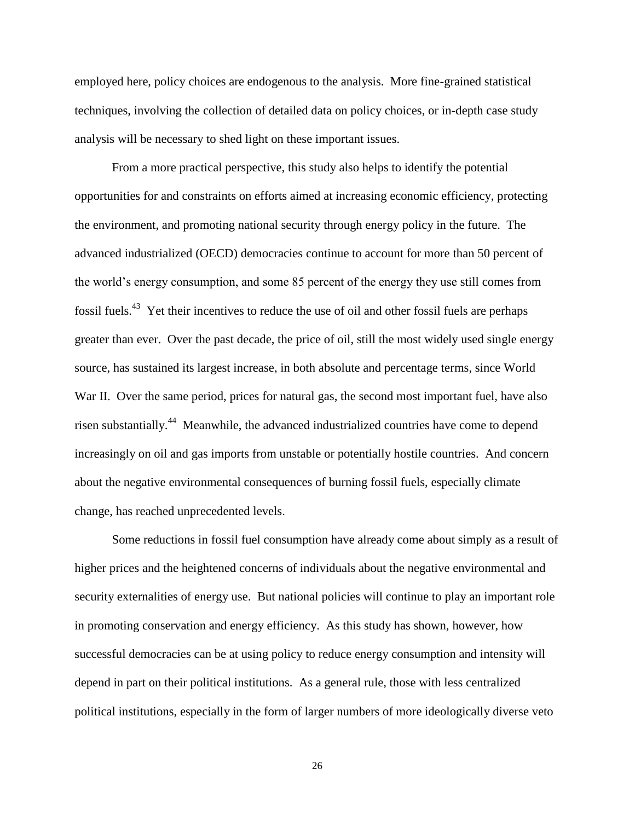employed here, policy choices are endogenous to the analysis. More fine-grained statistical techniques, involving the collection of detailed data on policy choices, or in-depth case study analysis will be necessary to shed light on these important issues.

From a more practical perspective, this study also helps to identify the potential opportunities for and constraints on efforts aimed at increasing economic efficiency, protecting the environment, and promoting national security through energy policy in the future. The advanced industrialized (OECD) democracies continue to account for more than 50 percent of the world's energy consumption, and some 85 percent of the energy they use still comes from fossil fuels.<sup>43</sup> Yet their incentives to reduce the use of oil and other fossil fuels are perhaps greater than ever. Over the past decade, the price of oil, still the most widely used single energy source, has sustained its largest increase, in both absolute and percentage terms, since World War II. Over the same period, prices for natural gas, the second most important fuel, have also risen substantially.<sup>44</sup> Meanwhile, the advanced industrialized countries have come to depend increasingly on oil and gas imports from unstable or potentially hostile countries. And concern about the negative environmental consequences of burning fossil fuels, especially climate change, has reached unprecedented levels.

Some reductions in fossil fuel consumption have already come about simply as a result of higher prices and the heightened concerns of individuals about the negative environmental and security externalities of energy use. But national policies will continue to play an important role in promoting conservation and energy efficiency. As this study has shown, however, how successful democracies can be at using policy to reduce energy consumption and intensity will depend in part on their political institutions. As a general rule, those with less centralized political institutions, especially in the form of larger numbers of more ideologically diverse veto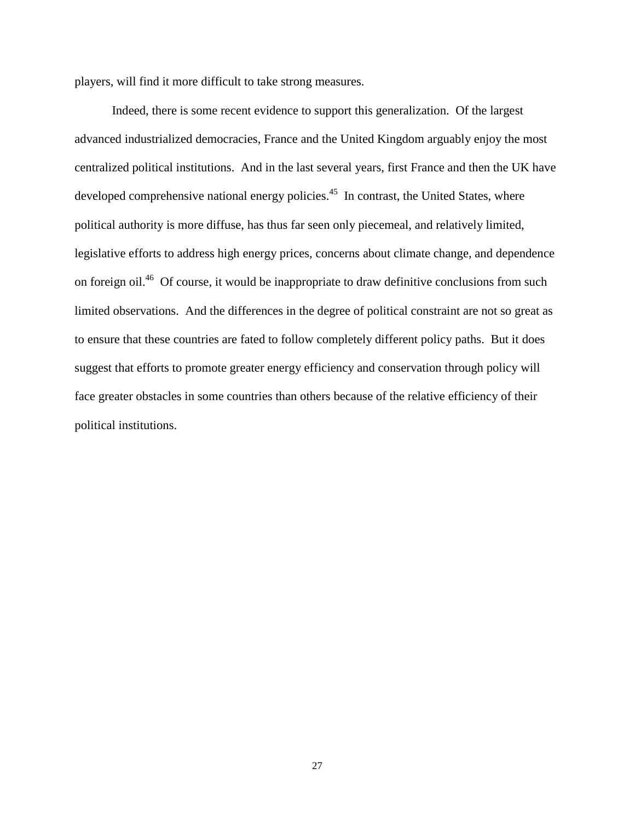players, will find it more difficult to take strong measures.

Indeed, there is some recent evidence to support this generalization. Of the largest advanced industrialized democracies, France and the United Kingdom arguably enjoy the most centralized political institutions. And in the last several years, first France and then the UK have developed comprehensive national energy policies.<sup>45</sup> In contrast, the United States, where political authority is more diffuse, has thus far seen only piecemeal, and relatively limited, legislative efforts to address high energy prices, concerns about climate change, and dependence on foreign oil.<sup>46</sup> Of course, it would be inappropriate to draw definitive conclusions from such limited observations. And the differences in the degree of political constraint are not so great as to ensure that these countries are fated to follow completely different policy paths. But it does suggest that efforts to promote greater energy efficiency and conservation through policy will face greater obstacles in some countries than others because of the relative efficiency of their political institutions.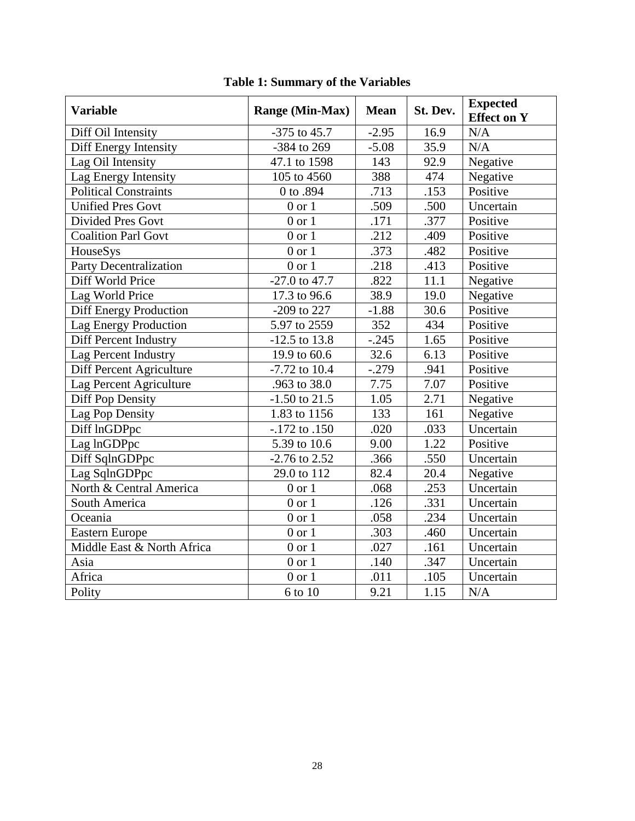| <b>Variable</b>               | <b>Range (Min-Max)</b> | <b>Mean</b>       | St. Dev. | <b>Expected</b><br><b>Effect on Y</b> |
|-------------------------------|------------------------|-------------------|----------|---------------------------------------|
| Diff Oil Intensity            | $-375$ to 45.7         | $-2.95$           | 16.9     | N/A                                   |
| Diff Energy Intensity         | -384 to 269            | $-5.08$           | 35.9     | N/A                                   |
| Lag Oil Intensity             | 47.1 to 1598           | 143               | 92.9     | Negative                              |
| Lag Energy Intensity          | 105 to 4560            | 388               | 474      | Negative                              |
| <b>Political Constraints</b>  | 0 to .894              | .713              | .153     | Positive                              |
| Unified Pres Govt             | $0$ or $1$             | .509              | .500     | Uncertain                             |
| <b>Divided Pres Govt</b>      | $0$ or $1$             | .171              | .377     | Positive                              |
| <b>Coalition Parl Govt</b>    | $0$ or $1$             | $\overline{.212}$ | .409     | Positive                              |
| HouseSys                      | $0$ or $1$             | .373              | .482     | Positive                              |
| <b>Party Decentralization</b> | $0$ or $1$             | .218              | .413     | Positive                              |
| Diff World Price              | $-27.0$ to 47.7        | .822              | 11.1     | Negative                              |
| Lag World Price               | 17.3 to 96.6           | 38.9              | 19.0     | Negative                              |
| <b>Diff Energy Production</b> | -209 to 227            | $-1.88$           | 30.6     | Positive                              |
| Lag Energy Production         | 5.97 to 2559           | 352               | 434      | Positive                              |
| Diff Percent Industry         | $-12.5$ to 13.8        | $-.245$           | 1.65     | Positive                              |
| Lag Percent Industry          | 19.9 to 60.6           | 32.6              | 6.13     | Positive                              |
| Diff Percent Agriculture      | $-7.72$ to $10.4$      | $-.279$           | .941     | Positive                              |
| Lag Percent Agriculture       | .963 to 38.0           | 7.75              | 7.07     | Positive                              |
| Diff Pop Density              | $-1.50$ to 21.5        | 1.05              | 2.71     | Negative                              |
| Lag Pop Density               | 1.83 to 1156           | 133               | 161      | Negative                              |
| Diff lnGDPpc                  | $-.172$ to $.150$      | .020              | .033     | Uncertain                             |
| Lag lnGDPpc                   | 5.39 to 10.6           | 9.00              | 1.22     | Positive                              |
| Diff SqlnGDPpc                | $-2.76$ to 2.52        | .366              | .550     | Uncertain                             |
| Lag SqlnGDPpc                 | 29.0 to 112            | 82.4              | 20.4     | Negative                              |
| North & Central America       | $0$ or $1$             | .068              | .253     | Uncertain                             |
| South America                 | $0$ or $1$             | .126              | .331     | Uncertain                             |
| Oceania                       | $0$ or $1$             | .058              | .234     | Uncertain                             |
| <b>Eastern Europe</b>         | $0$ or $1$             | .303              | .460     | Uncertain                             |
| Middle East & North Africa    | $0$ or $1$             | .027              | .161     | Uncertain                             |
| Asia                          | $0$ or $1$             | .140              | .347     | Uncertain                             |
| Africa                        | $0$ or $1$             | .011              | .105     | Uncertain                             |
| Polity                        | 6 to 10                | 9.21              | 1.15     | N/A                                   |

## **Table 1: Summary of the Variables**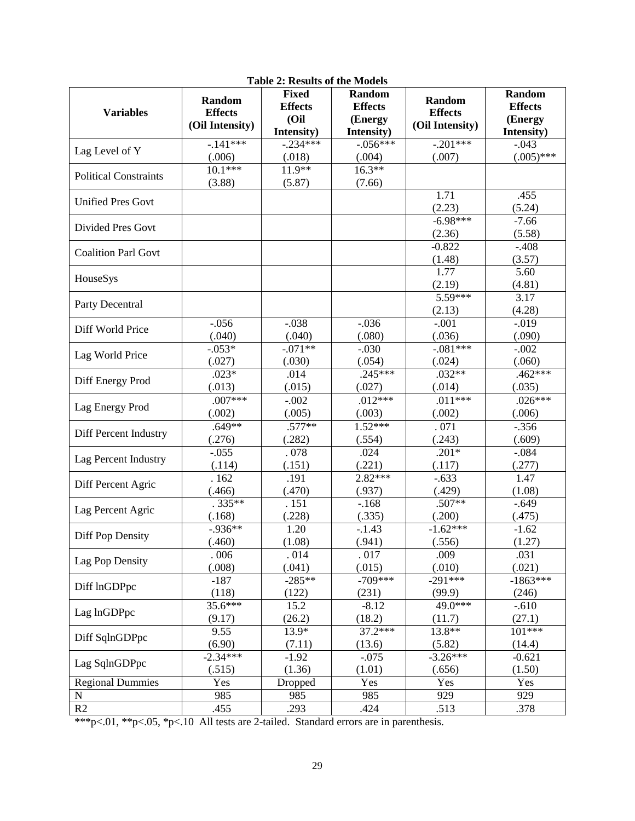| <b>Variables</b>             | <b>Random</b><br><b>Effects</b><br>(Oil Intensity) | <b>Fixed</b><br><b>Effects</b><br>(Oil<br>Intensity) | Random<br><b>Effects</b><br>(Energy<br>Intensity) | Random<br><b>Effects</b><br>(Oil Intensity) | Random<br><b>Effects</b><br>(Energy<br>Intensity) |
|------------------------------|----------------------------------------------------|------------------------------------------------------|---------------------------------------------------|---------------------------------------------|---------------------------------------------------|
| Lag Level of Y               | $-141***$                                          | $-0.234***$                                          | $-0.056***$                                       | $-.201***$                                  | $-.043$                                           |
|                              | (.006)                                             | (.018)                                               | (.004)                                            | (.007)                                      | $(.005)$ ***                                      |
| <b>Political Constraints</b> | $10.1***$<br>(3.88)                                | $11.9**$<br>(5.87)                                   | $16.3**$<br>(7.66)                                |                                             |                                                   |
| <b>Unified Pres Govt</b>     |                                                    |                                                      |                                                   | 1.71<br>(2.23)                              | .455<br>(5.24)                                    |
| <b>Divided Pres Govt</b>     |                                                    |                                                      |                                                   | $-6.98***$<br>(2.36)                        | $-7.66$<br>(5.58)                                 |
| <b>Coalition Parl Govt</b>   |                                                    |                                                      |                                                   | $-0.822$<br>(1.48)                          | $-.408$<br>(3.57)                                 |
| HouseSys                     |                                                    |                                                      |                                                   | 1.77<br>(2.19)                              | 5.60<br>(4.81)                                    |
| Party Decentral              |                                                    |                                                      |                                                   | 5.59***<br>(2.13)                           | 3.17<br>(4.28)                                    |
| Diff World Price             | $-0.056$                                           | $-.038$                                              | $-.036$                                           | $-.001$                                     | $-0.019$                                          |
|                              | (.040)                                             | (.040)                                               | (.080)                                            | (.036)                                      | (.090)                                            |
| Lag World Price              | $-.053*$                                           | $-.071**$                                            | $-.030$                                           | $-.081***$                                  | $-.002$                                           |
|                              | (.027)                                             | (.030)                                               | (.054)                                            | (.024)                                      | (.060)                                            |
| Diff Energy Prod             | $.023*$                                            | .014                                                 | $.245***$                                         | $.032**$                                    | $.462***$                                         |
|                              | (.013)                                             | (.015)                                               | (.027)                                            | (.014)                                      | (.035)                                            |
| Lag Energy Prod              | $.007***$                                          | $-.002$                                              | $.012***$                                         | $.011***$                                   | $.026***$                                         |
|                              | (.002)                                             | (.005)                                               | (.003)                                            | (.002)                                      | (.006)                                            |
| Diff Percent Industry        | $.649**$                                           | $.577**$                                             | $1.52***$                                         | .071                                        | $-.356$                                           |
|                              | (.276)                                             | (.282)                                               | (.554)                                            | (.243)                                      | (.609)                                            |
| Lag Percent Industry         | $-.055$                                            | .078                                                 | .024                                              | $.201*$                                     | $-.084$                                           |
|                              | (.114)                                             | (.151)                                               | (.221)                                            | (.117)                                      | (.277)                                            |
| Diff Percent Agric           | .162                                               | .191                                                 | $2.82***$                                         | $-.633$                                     | 1.47                                              |
|                              | (.466)                                             | (.470)                                               | (.937)                                            | (.429)                                      | (1.08)                                            |
| Lag Percent Agric            | $.335**$                                           | . 151                                                | $-.168$                                           | .507**                                      | $-.649$                                           |
|                              | (.168)                                             | (.228)                                               | (.335)                                            | (.200)                                      | (.475)                                            |
| <b>Diff Pop Density</b>      | $-0.936**$                                         | 1.20                                                 | $-.1.43$                                          | $-1.62***$                                  | $-1.62$                                           |
|                              | (.460)                                             | (1.08)                                               | (.941)                                            | (.556)                                      | (1.27)                                            |
| Lag Pop Density              | .006                                               | .014                                                 | .017                                              | .009                                        | .031                                              |
|                              | (.008)                                             | (.041)                                               | (.015)                                            | (.010)                                      | (.021)                                            |
| Diff lnGDPpc                 | $-187$                                             | $-285**$                                             | $-709***$                                         | $-291***$                                   | $-1863***$                                        |
|                              | (118)                                              | (122)                                                | (231)                                             | (99.9)                                      | (246)                                             |
| Lag lnGDPpc                  | 35.6***                                            | 15.2                                                 | $-8.12$                                           | 49.0***                                     | $-.610$                                           |
|                              | (9.17)                                             | (26.2)                                               | (18.2)                                            | (11.7)                                      | (27.1)                                            |
| Diff SqlnGDPpc               | 9.55                                               | 13.9*                                                | 37.2***                                           | $13.8**$                                    | 101***                                            |
|                              | (6.90)                                             | (7.11)                                               | (13.6)                                            | (5.82)                                      | (14.4)                                            |
| Lag SqlnGDPpc                | $-2.34***$                                         | $-1.92$                                              | $-.075$                                           | $-3.26***$                                  | $-0.621$                                          |
|                              | (.515)                                             | (1.36)                                               | (1.01)                                            | (.656)                                      | (1.50)                                            |
| <b>Regional Dummies</b>      | Yes                                                | Dropped                                              | Yes                                               | Yes                                         | Yes                                               |
| ${\bf N}$                    | 985                                                | 985                                                  | 985                                               | 929                                         | 929                                               |
| R2                           | .455                                               | .293                                                 | .424                                              | .513                                        | .378                                              |

**Table 2: Results of the Models**

\*\*\*p<.01, \*\*p<.05, \*p<.10 All tests are 2-tailed.Standard errors are in parenthesis.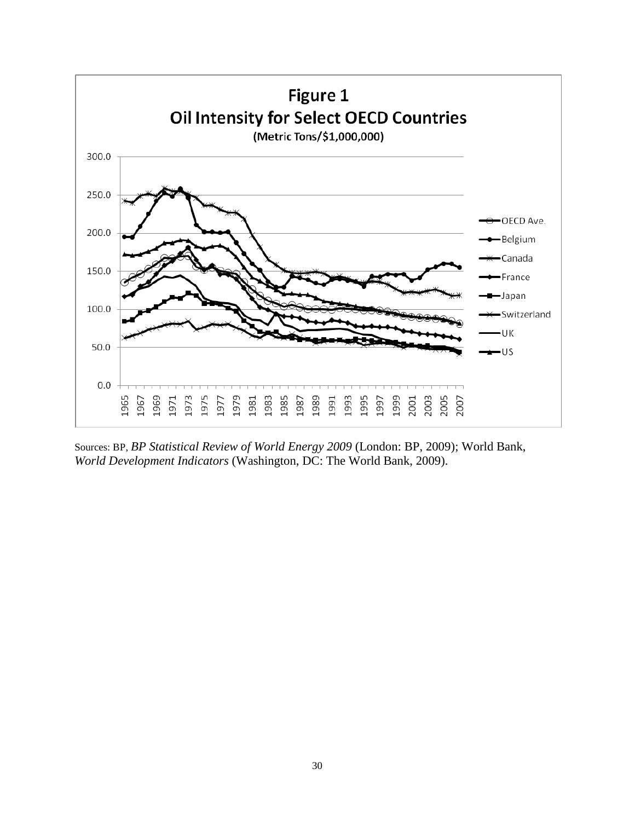

Sources: BP, *BP Statistical Review of World Energy 2009* (London: BP, 2009); World Bank, *World Development Indicators* (Washington, DC: The World Bank, 2009).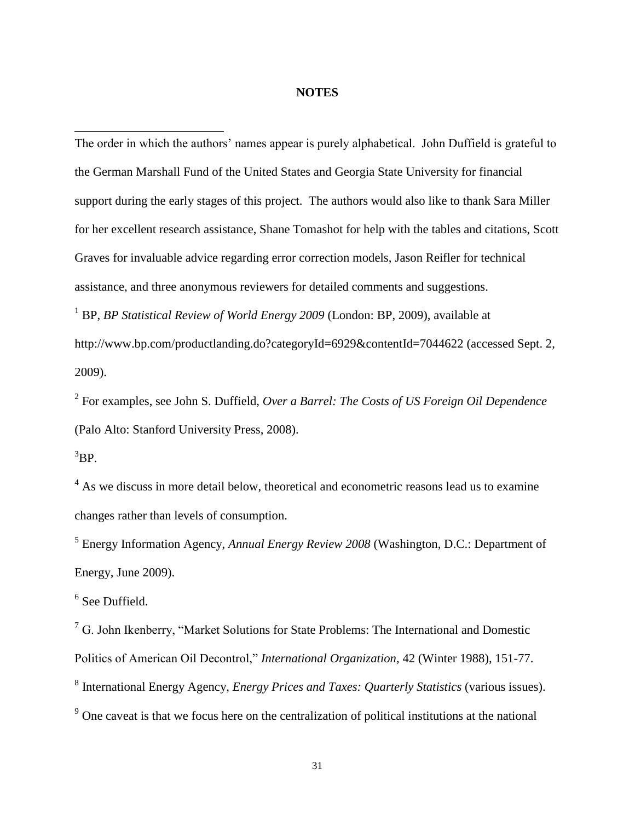#### **NOTES**

The order in which the authors' names appear is purely alphabetical. John Duffield is grateful to the German Marshall Fund of the United States and Georgia State University for financial support during the early stages of this project. The authors would also like to thank Sara Miller for her excellent research assistance, Shane Tomashot for help with the tables and citations, Scott Graves for invaluable advice regarding error correction models, Jason Reifler for technical assistance, and three anonymous reviewers for detailed comments and suggestions. <sup>1</sup> BP, *BP Statistical Review of World Energy 2009* (London: BP, 2009), available at

<http://www.bp.com/productlanding.do?categoryId=6929&contentId=7044622> (accessed Sept. 2, 2009).

2 For examples, see John S. Duffield, *Over a Barrel: The Costs of US Foreign Oil Dependence* (Palo Alto: Stanford University Press, 2008).

 ${}^{3}BP.$ 

 $\overline{a}$ 

<sup>4</sup> As we discuss in more detail below, theoretical and econometric reasons lead us to examine changes rather than levels of consumption.

5 Energy Information Agency, *Annual Energy Review 2008* (Washington, D.C.: Department of Energy, June 2009).

6 See Duffield.

 $<sup>7</sup>$  G. John Ikenberry, "Market Solutions for State Problems: The International and Domestic</sup> Politics of American Oil Decontrol," *International Organization*, 42 (Winter 1988), 151-77. 8 International Energy Agency, *Energy Prices and Taxes: Quarterly Statistics* (various issues).

<sup>9</sup> One caveat is that we focus here on the centralization of political institutions at the national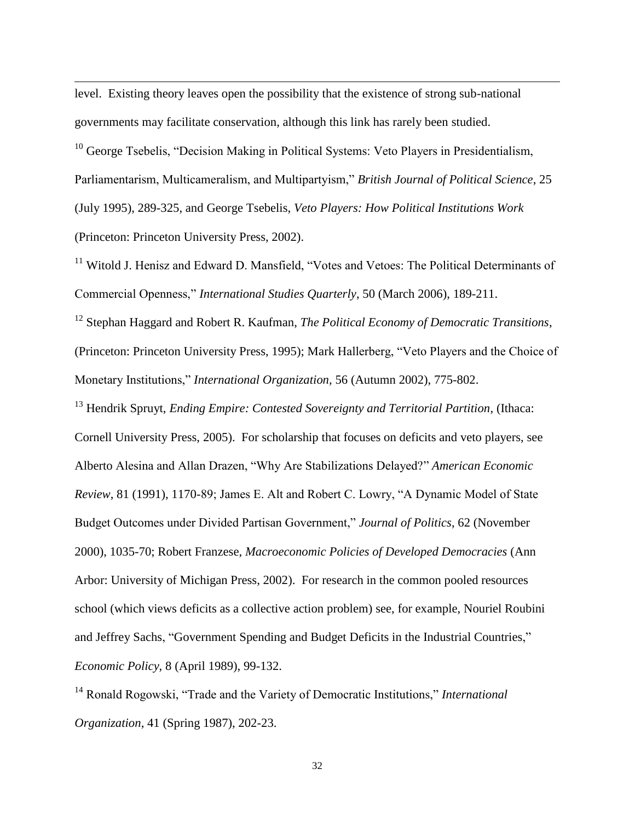level. Existing theory leaves open the possibility that the existence of strong sub-national governments may facilitate conservation, although this link has rarely been studied.

 $\overline{a}$ 

 $10$  George Tsebelis, "Decision Making in Political Systems: Veto Players in Presidentialism, Parliamentarism, Multicameralism, and Multipartyism," *British Journal of Political Science*, 25 (July 1995), 289-325, and George Tsebelis, *Veto Players: How Political Institutions Work* (Princeton: Princeton University Press, 2002).

<sup>11</sup> Witold J. Henisz and Edward D. Mansfield, "Votes and Vetoes: The Political Determinants of Commercial Openness," *International Studies Quarterly*, 50 (March 2006), 189-211.

<sup>12</sup> Stephan Haggard and Robert R. Kaufman, *The Political Economy of Democratic Transitions*, (Princeton: Princeton University Press, 1995); Mark Hallerberg, "Veto Players and the Choice of Monetary Institutions," *International Organization,* 56 (Autumn 2002), 775-802.

<sup>13</sup> Hendrik Spruyt, *Ending Empire: Contested Sovereignty and Territorial Partition*, (Ithaca: Cornell University Press, 2005). For scholarship that focuses on deficits and veto players, see Alberto Alesina and Allan Drazen, "Why Are Stabilizations Delayed?" *American Economic Review*, 81 (1991), 1170-89; James E. Alt and Robert C. Lowry, "A Dynamic Model of State Budget Outcomes under Divided Partisan Government," *Journal of Politics*, 62 (November 2000), 1035-70; Robert Franzese, *Macroeconomic Policies of Developed Democracies* (Ann Arbor: University of Michigan Press, 2002). For research in the common pooled resources school (which views deficits as a collective action problem) see, for example, Nouriel Roubini and Jeffrey Sachs, "Government Spending and Budget Deficits in the Industrial Countries," *Economic Policy*, 8 (April 1989), 99-132.

<sup>14</sup> Ronald Rogowski, "Trade and the Variety of Democratic Institutions," *International Organization*, 41 (Spring 1987), 202-23.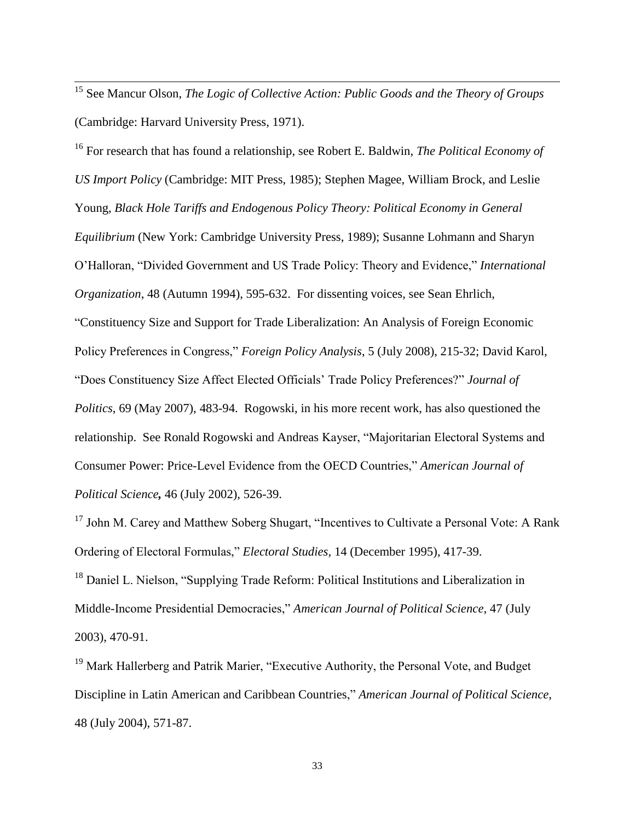<sup>15</sup> See Mancur Olson, *The Logic of Collective Action: Public Goods and the Theory of Groups*  (Cambridge: Harvard University Press, 1971).

 $\overline{\phantom{a}}$ 

<sup>16</sup> For research that has found a relationship, see Robert E. Baldwin, *The Political Economy of US Import Policy* (Cambridge: MIT Press, 1985); Stephen Magee, William Brock, and Leslie Young, *Black Hole Tariffs and Endogenous Policy Theory: Political Economy in General Equilibrium* (New York: Cambridge University Press, 1989); Susanne Lohmann and Sharyn O'Halloran, "Divided Government and US Trade Policy: Theory and Evidence," *International Organization*, 48 (Autumn 1994), 595-632. For dissenting voices, see Sean Ehrlich, "Constituency Size and Support for Trade Liberalization: An Analysis of Foreign Economic Policy Preferences in Congress," *Foreign Policy Analysis*, 5 (July 2008), 215-32; David Karol, "Does Constituency Size Affect Elected Officials' Trade Policy Preferences?" *Journal of Politics*, 69 (May 2007), 483-94. Rogowski, in his more recent work, has also questioned the relationship. See Ronald Rogowski and Andreas Kayser, "Majoritarian Electoral Systems and Consumer Power: Price-Level Evidence from the OECD Countries," *American Journal of Political Science,* 46 (July 2002), 526-39.

<sup>17</sup> John M. Carey and Matthew Soberg Shugart, "Incentives to Cultivate a Personal Vote: A Rank Ordering of Electoral Formulas," *Electoral Studies,* 14 (December 1995), 417-39.

<sup>18</sup> Daniel L. Nielson, "Supplying Trade Reform: Political Institutions and Liberalization in Middle-Income Presidential Democracies," *American Journal of Political Science,* 47 (July 2003), 470-91.

<sup>19</sup> Mark Hallerberg and Patrik Marier, "Executive Authority, the Personal Vote, and Budget Discipline in Latin American and Caribbean Countries," *American Journal of Political Science*, 48 (July 2004), 571-87.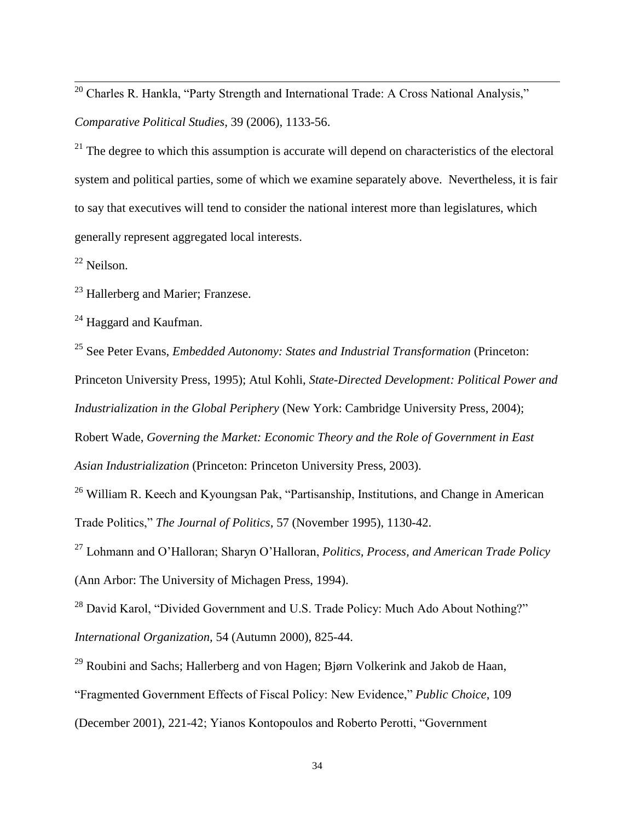$20$  Charles R. Hankla, "Party Strength and International Trade: A Cross National Analysis," *Comparative Political Studies*, 39 (2006), 1133-56.

 $21$  The degree to which this assumption is accurate will depend on characteristics of the electoral system and political parties, some of which we examine separately above. Nevertheless, it is fair to say that executives will tend to consider the national interest more than legislatures, which generally represent aggregated local interests.

<sup>22</sup> Neilson.

 $\overline{\phantom{a}}$ 

<sup>23</sup> Hallerberg and Marier; Franzese.

 $24$  Haggard and Kaufman.

<sup>25</sup> See Peter Evans, *Embedded Autonomy: States and Industrial Transformation* (Princeton: Princeton University Press, 1995); Atul Kohli, *State-Directed Development: Political Power and Industrialization in the Global Periphery* (New York: Cambridge University Press, 2004); Robert Wade, *Governing the Market: Economic Theory and the Role of Government in East Asian Industrialization* (Princeton: Princeton University Press, 2003).

<sup>26</sup> William R. Keech and Kyoungsan Pak, "Partisanship, Institutions, and Change in American Trade Politics," *The Journal of Politics*, 57 (November 1995), 1130-42.

<sup>27</sup> Lohmann and O'Halloran; Sharyn O'Halloran, *Politics, Process, and American Trade Policy* (Ann Arbor: The University of Michagen Press, 1994).

<sup>28</sup> David Karol, "Divided Government and U.S. Trade Policy: Much Ado About Nothing?" *International Organization,* 54 (Autumn 2000), 825-44.

<sup>29</sup> Roubini and Sachs; Hallerberg and von Hagen; Bjørn Volkerink and Jakob de Haan, "Fragmented Government Effects of Fiscal Policy: New Evidence," *Public Choice*, 109 (December 2001), 221-42; Yianos Kontopoulos and Roberto Perotti, "Government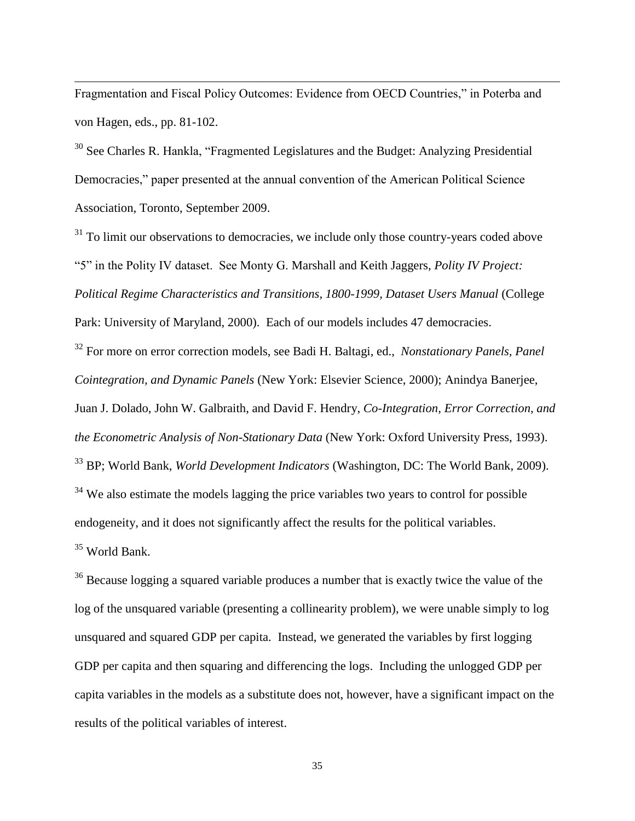Fragmentation and Fiscal Policy Outcomes: Evidence from OECD Countries," in Poterba and von Hagen, eds., pp. 81-102.

 $\overline{\phantom{a}}$ 

<sup>30</sup> See Charles R. Hankla, "Fragmented Legislatures and the Budget: Analyzing Presidential Democracies," paper presented at the annual convention of the American Political Science Association, Toronto, September 2009.

<sup>31</sup> To limit our observations to democracies, we include only those country-years coded above "5" in the Polity IV dataset. See Monty G. Marshall and Keith Jaggers, *Polity IV Project: Political Regime Characteristics and Transitions, 1800-1999, Dataset Users Manual* (College Park: University of Maryland, 2000). Each of our models includes 47 democracies. <sup>32</sup> For more on error correction models, see Badi H. Baltagi, ed., *Nonstationary Panels, Panel Cointegration, and Dynamic Panels* (New York: Elsevier Science, 2000); Anindya Banerjee, Juan J. Dolado, John W. Galbraith, and David F. Hendry, *Co-Integration, Error Correction, and the Econometric Analysis of Non-Stationary Data* (New York: Oxford University Press, 1993). <sup>33</sup> BP; World Bank, *World Development Indicators* (Washington, DC: The World Bank, 2009). <sup>34</sup> We also estimate the models lagging the price variables two years to control for possible endogeneity, and it does not significantly affect the results for the political variables. <sup>35</sup> World Bank.

<sup>36</sup> Because logging a squared variable produces a number that is exactly twice the value of the log of the unsquared variable (presenting a collinearity problem), we were unable simply to log unsquared and squared GDP per capita. Instead, we generated the variables by first logging GDP per capita and then squaring and differencing the logs. Including the unlogged GDP per capita variables in the models as a substitute does not, however, have a significant impact on the results of the political variables of interest.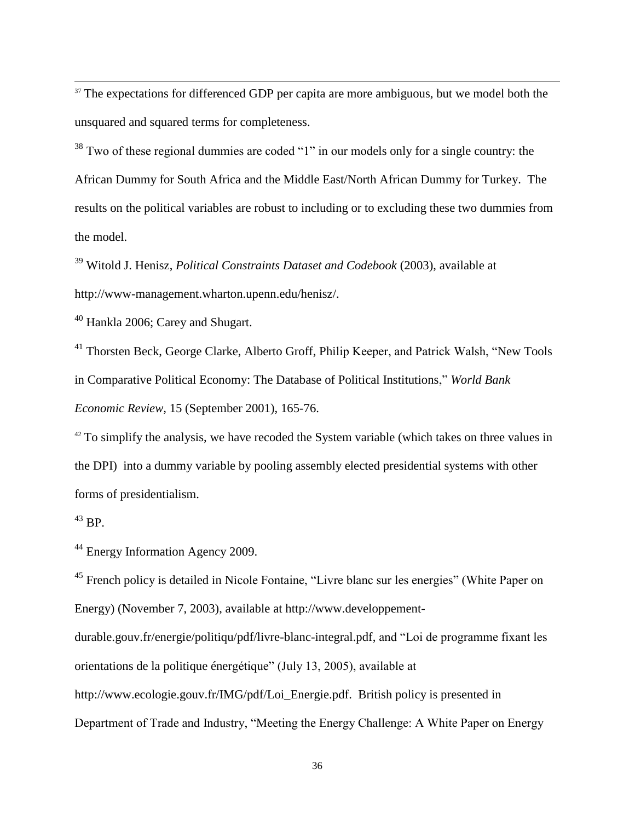$37$  The expectations for differenced GDP per capita are more ambiguous, but we model both the unsquared and squared terms for completeness.

<sup>38</sup> Two of these regional dummies are coded "1" in our models only for a single country: the African Dummy for South Africa and the Middle East/North African Dummy for Turkey. The results on the political variables are robust to including or to excluding these two dummies from the model.

<sup>39</sup> Witold J. Henisz, *Political Constraints Dataset and Codebook* (2003), available at http://www-management.wharton.upenn.edu/henisz/.

<sup>40</sup> Hankla 2006; Carey and Shugart.

<sup>41</sup> Thorsten Beck, George Clarke, Alberto Groff, Philip Keeper, and Patrick Walsh, "New Tools" in Comparative Political Economy: The Database of Political Institutions," *World Bank Economic Review,* 15 (September 2001), 165-76.

 $42$  To simplify the analysis, we have recoded the System variable (which takes on three values in the DPI) into a dummy variable by pooling assembly elected presidential systems with other forms of presidentialism.

 $43$  BP.

 $\overline{\phantom{a}}$ 

<sup>44</sup> Energy Information Agency 2009.

<sup>45</sup> French policy is detailed in Nicole Fontaine, "Livre blanc sur les energies" (White Paper on Energy) (November 7, 2003), available at http://www.developpement-

durable.gouv.fr/energie/politiqu/pdf/livre-blanc-integral.pdf, and "Loi de programme fixant les orientations de la politique énergétique" (July 13, 2005), available at http://www.ecologie.gouv.fr/IMG/pdf/Loi\_Energie.pdf. British policy is presented in Department of Trade and Industry, "Meeting the Energy Challenge: A White Paper on Energy